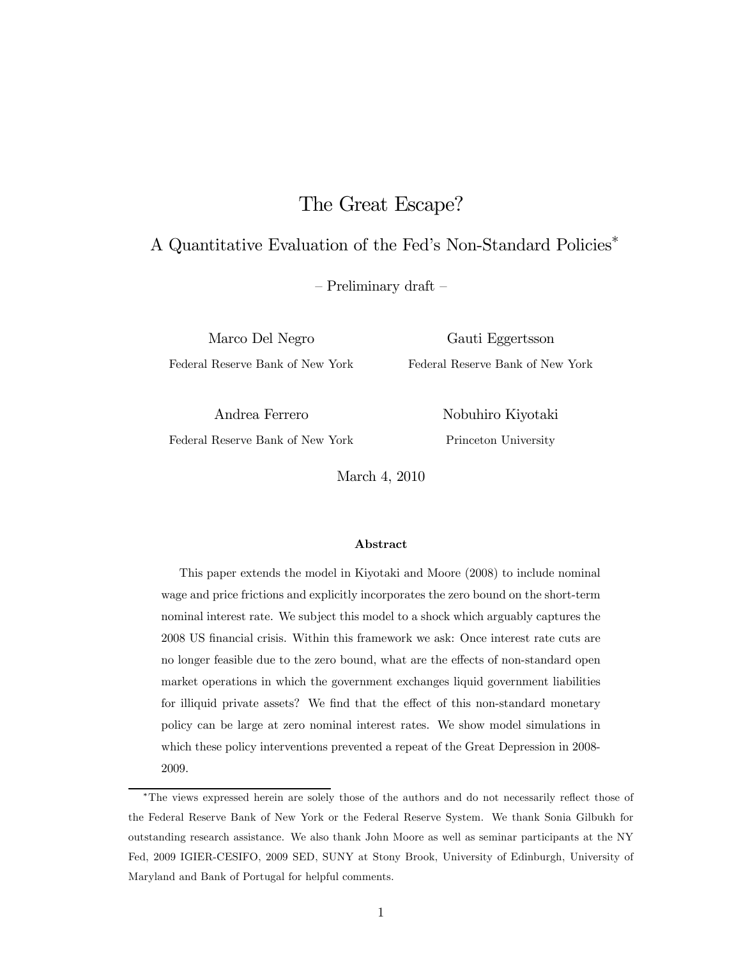# The Great Escape?

## A Quantitative Evaluation of the Fed's Non-Standard Policies∗

— Preliminary draft —

Federal Reserve Bank of New York Federal Reserve Bank of New York

Marco Del Negro Gauti Eggertsson

Andrea Ferrero Nobuhiro Kiyotaki

Federal Reserve Bank of New York Princeton University

March 4, 2010

#### Abstract

This paper extends the model in Kiyotaki and Moore (2008) to include nominal wage and price frictions and explicitly incorporates the zero bound on the short-term nominal interest rate. We subject this model to a shock which arguably captures the 2008 US financial crisis. Within this framework we ask: Once interest rate cuts are no longer feasible due to the zero bound, what are the effects of non-standard open market operations in which the government exchanges liquid government liabilities for illiquid private assets? We find that the effect of this non-standard monetary policy can be large at zero nominal interest rates. We show model simulations in which these policy interventions prevented a repeat of the Great Depression in 2008- 2009.

<sup>∗</sup>The views expressed herein are solely those of the authors and do not necessarily reflect those of the Federal Reserve Bank of New York or the Federal Reserve System. We thank Sonia Gilbukh for outstanding research assistance. We also thank John Moore as well as seminar participants at the NY Fed, 2009 IGIER-CESIFO, 2009 SED, SUNY at Stony Brook, University of Edinburgh, University of Maryland and Bank of Portugal for helpful comments.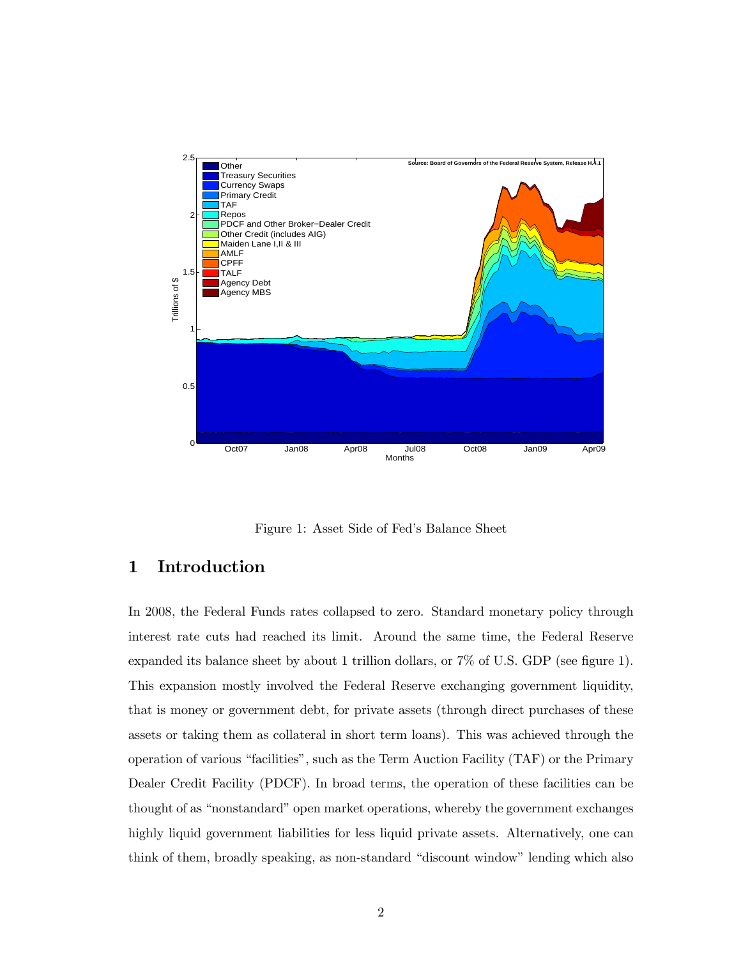

Figure 1: Asset Side of Fed's Balance Sheet

## 1 Introduction

In 2008, the Federal Funds rates collapsed to zero. Standard monetary policy through interest rate cuts had reached its limit. Around the same time, the Federal Reserve expanded its balance sheet by about 1 trillion dollars, or 7% of U.S. GDP (see figure 1). This expansion mostly involved the Federal Reserve exchanging government liquidity, that is money or government debt, for private assets (through direct purchases of these assets or taking them as collateral in short term loans). This was achieved through the operation of various "facilities", such as the Term Auction Facility (TAF) or the Primary Dealer Credit Facility (PDCF). In broad terms, the operation of these facilities can be thought of as "nonstandard" open market operations, whereby the government exchanges highly liquid government liabilities for less liquid private assets. Alternatively, one can think of them, broadly speaking, as non-standard "discount window" lending which also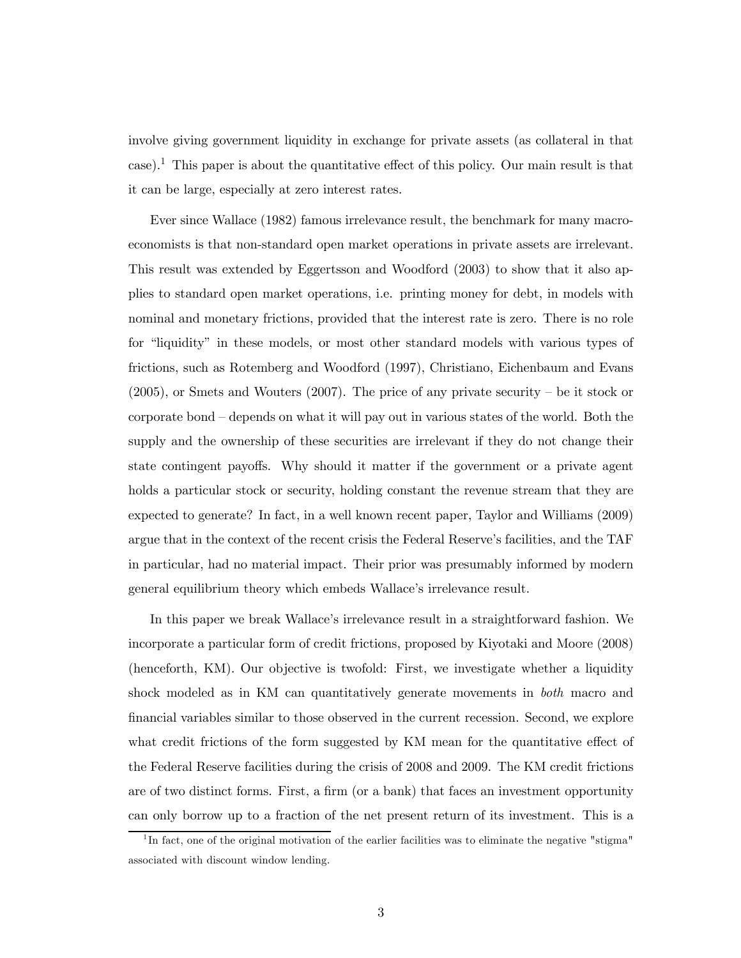involve giving government liquidity in exchange for private assets (as collateral in that case).<sup>1</sup> This paper is about the quantitative effect of this policy. Our main result is that it can be large, especially at zero interest rates.

Ever since Wallace (1982) famous irrelevance result, the benchmark for many macroeconomists is that non-standard open market operations in private assets are irrelevant. This result was extended by Eggertsson and Woodford (2003) to show that it also applies to standard open market operations, i.e. printing money for debt, in models with nominal and monetary frictions, provided that the interest rate is zero. There is no role for "liquidity" in these models, or most other standard models with various types of frictions, such as Rotemberg and Woodford (1997), Christiano, Eichenbaum and Evans (2005), or Smets and Wouters (2007). The price of any private security — be it stock or corporate bond — depends on what it will pay out in various states of the world. Both the supply and the ownership of these securities are irrelevant if they do not change their state contingent payoffs. Why should it matter if the government or a private agent holds a particular stock or security, holding constant the revenue stream that they are expected to generate? In fact, in a well known recent paper, Taylor and Williams (2009) argue that in the context of the recent crisis the Federal Reserve's facilities, and the TAF in particular, had no material impact. Their prior was presumably informed by modern general equilibrium theory which embeds Wallace's irrelevance result.

In this paper we break Wallace's irrelevance result in a straightforward fashion. We incorporate a particular form of credit frictions, proposed by Kiyotaki and Moore (2008) (henceforth, KM). Our objective is twofold: First, we investigate whether a liquidity shock modeled as in KM can quantitatively generate movements in both macro and financial variables similar to those observed in the current recession. Second, we explore what credit frictions of the form suggested by KM mean for the quantitative effect of the Federal Reserve facilities during the crisis of 2008 and 2009. The KM credit frictions are of two distinct forms. First, a firm (or a bank) that faces an investment opportunity can only borrow up to a fraction of the net present return of its investment. This is a

 $1<sup>1</sup>$ In fact, one of the original motivation of the earlier facilities was to eliminate the negative "stigma" associated with discount window lending.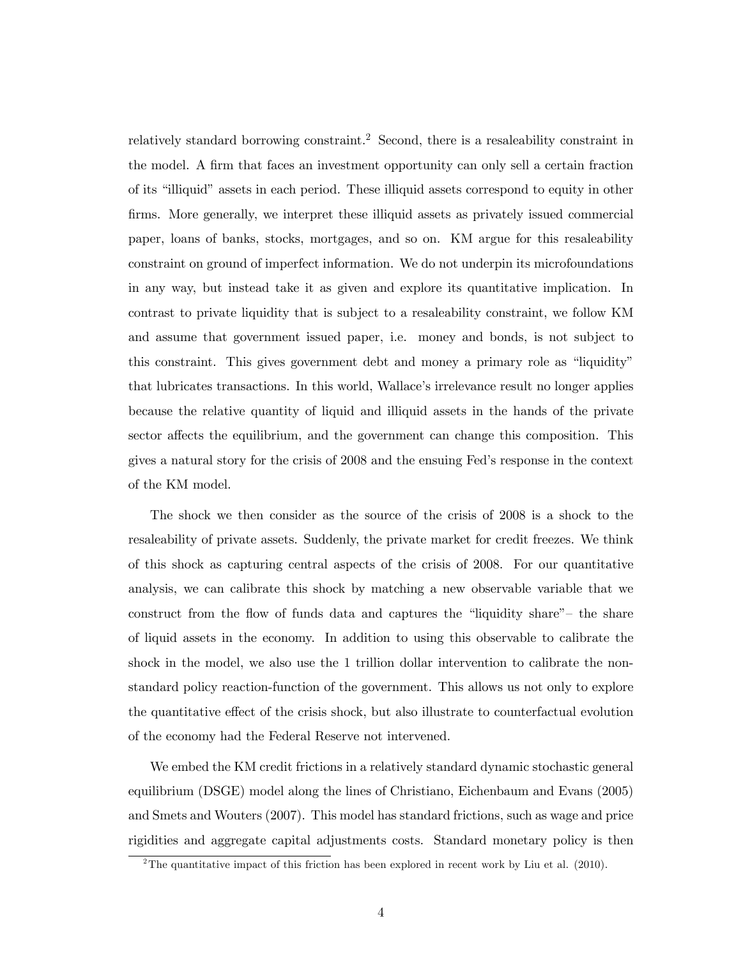relatively standard borrowing constraint.<sup>2</sup> Second, there is a resaleability constraint in the model. A firm that faces an investment opportunity can only sell a certain fraction of its "illiquid" assets in each period. These illiquid assets correspond to equity in other firms. More generally, we interpret these illiquid assets as privately issued commercial paper, loans of banks, stocks, mortgages, and so on. KM argue for this resaleability constraint on ground of imperfect information. We do not underpin its microfoundations in any way, but instead take it as given and explore its quantitative implication. In contrast to private liquidity that is subject to a resaleability constraint, we follow KM and assume that government issued paper, i.e. money and bonds, is not subject to this constraint. This gives government debt and money a primary role as "liquidity" that lubricates transactions. In this world, Wallace's irrelevance result no longer applies because the relative quantity of liquid and illiquid assets in the hands of the private sector affects the equilibrium, and the government can change this composition. This gives a natural story for the crisis of 2008 and the ensuing Fed's response in the context of the KM model.

The shock we then consider as the source of the crisis of 2008 is a shock to the resaleability of private assets. Suddenly, the private market for credit freezes. We think of this shock as capturing central aspects of the crisis of 2008. For our quantitative analysis, we can calibrate this shock by matching a new observable variable that we construct from the flow of funds data and captures the "liquidity share"— the share of liquid assets in the economy. In addition to using this observable to calibrate the shock in the model, we also use the 1 trillion dollar intervention to calibrate the nonstandard policy reaction-function of the government. This allows us not only to explore the quantitative effect of the crisis shock, but also illustrate to counterfactual evolution of the economy had the Federal Reserve not intervened.

We embed the KM credit frictions in a relatively standard dynamic stochastic general equilibrium (DSGE) model along the lines of Christiano, Eichenbaum and Evans (2005) and Smets and Wouters (2007). This model has standard frictions, such as wage and price rigidities and aggregate capital adjustments costs. Standard monetary policy is then

<sup>&</sup>lt;sup>2</sup>The quantitative impact of this friction has been explored in recent work by Liu et al. (2010).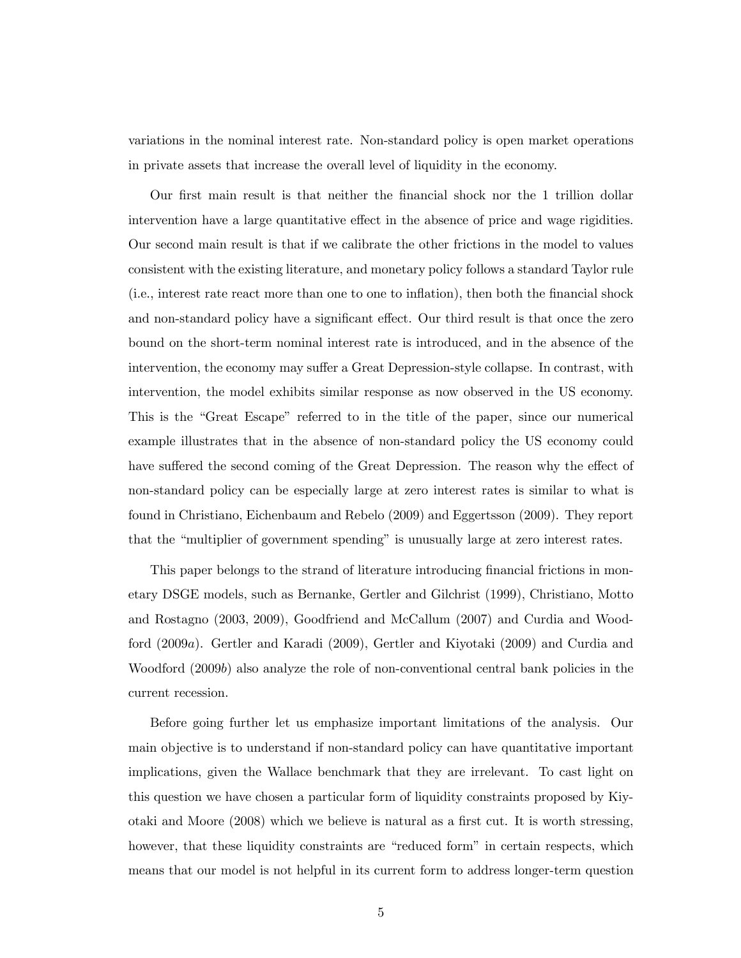variations in the nominal interest rate. Non-standard policy is open market operations in private assets that increase the overall level of liquidity in the economy.

Our first main result is that neither the financial shock nor the 1 trillion dollar intervention have a large quantitative effect in the absence of price and wage rigidities. Our second main result is that if we calibrate the other frictions in the model to values consistent with the existing literature, and monetary policy follows a standard Taylor rule (i.e., interest rate react more than one to one to inflation), then both the financial shock and non-standard policy have a significant effect. Our third result is that once the zero bound on the short-term nominal interest rate is introduced, and in the absence of the intervention, the economy may suffer a Great Depression-style collapse. In contrast, with intervention, the model exhibits similar response as now observed in the US economy. This is the "Great Escape" referred to in the title of the paper, since our numerical example illustrates that in the absence of non-standard policy the US economy could have suffered the second coming of the Great Depression. The reason why the effect of non-standard policy can be especially large at zero interest rates is similar to what is found in Christiano, Eichenbaum and Rebelo (2009) and Eggertsson (2009). They report that the "multiplier of government spending" is unusually large at zero interest rates.

This paper belongs to the strand of literature introducing financial frictions in monetary DSGE models, such as Bernanke, Gertler and Gilchrist (1999), Christiano, Motto and Rostagno (2003, 2009), Goodfriend and McCallum (2007) and Curdia and Woodford (2009a). Gertler and Karadi (2009), Gertler and Kiyotaki (2009) and Curdia and Woodford (2009b) also analyze the role of non-conventional central bank policies in the current recession.

Before going further let us emphasize important limitations of the analysis. Our main objective is to understand if non-standard policy can have quantitative important implications, given the Wallace benchmark that they are irrelevant. To cast light on this question we have chosen a particular form of liquidity constraints proposed by Kiyotaki and Moore (2008) which we believe is natural as a first cut. It is worth stressing, however, that these liquidity constraints are "reduced form" in certain respects, which means that our model is not helpful in its current form to address longer-term question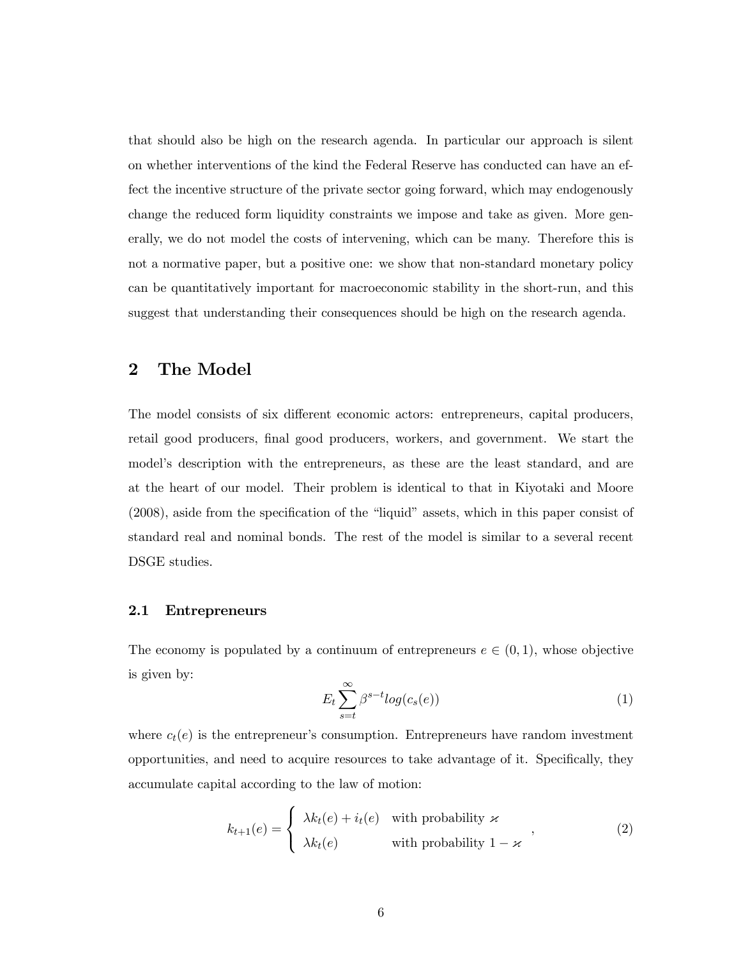that should also be high on the research agenda. In particular our approach is silent on whether interventions of the kind the Federal Reserve has conducted can have an effect the incentive structure of the private sector going forward, which may endogenously change the reduced form liquidity constraints we impose and take as given. More generally, we do not model the costs of intervening, which can be many. Therefore this is not a normative paper, but a positive one: we show that non-standard monetary policy can be quantitatively important for macroeconomic stability in the short-run, and this suggest that understanding their consequences should be high on the research agenda.

## 2 The Model

The model consists of six different economic actors: entrepreneurs, capital producers, retail good producers, final good producers, workers, and government. We start the model's description with the entrepreneurs, as these are the least standard, and are at the heart of our model. Their problem is identical to that in Kiyotaki and Moore (2008), aside from the specification of the "liquid" assets, which in this paper consist of standard real and nominal bonds. The rest of the model is similar to a several recent DSGE studies.

#### 2.1 Entrepreneurs

The economy is populated by a continuum of entrepreneurs  $e \in (0,1)$ , whose objective is given by:

$$
E_t \sum_{s=t}^{\infty} \beta^{s-t} log(c_s(e))
$$
\n(1)

where  $c_t(e)$  is the entrepreneur's consumption. Entrepreneurs have random investment opportunities, and need to acquire resources to take advantage of it. Specifically, they accumulate capital according to the law of motion:

$$
k_{t+1}(e) = \begin{cases} \lambda k_t(e) + i_t(e) & \text{with probability } \varkappa \\ \lambda k_t(e) & \text{with probability } 1 - \varkappa \end{cases} \tag{2}
$$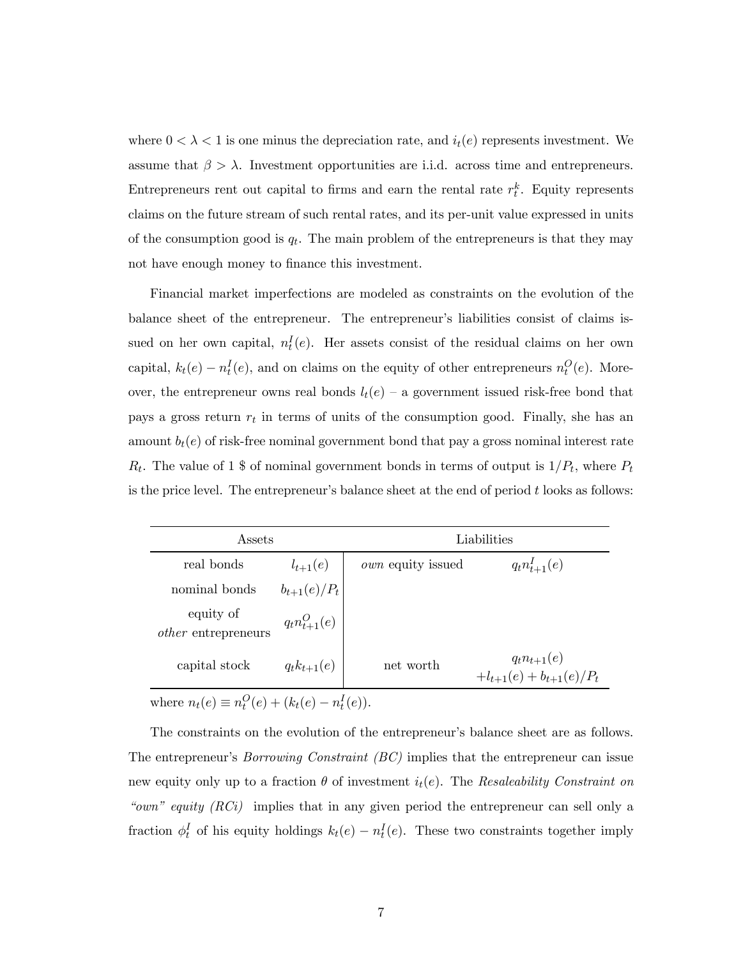where  $0 < \lambda < 1$  is one minus the depreciation rate, and  $i_t(e)$  represents investment. We assume that  $\beta > \lambda$ . Investment opportunities are i.i.d. across time and entrepreneurs. Entrepreneurs rent out capital to firms and earn the rental rate  $r_t^k$ . Equity represents claims on the future stream of such rental rates, and its per-unit value expressed in units of the consumption good is  $q_t$ . The main problem of the entrepreneurs is that they may not have enough money to finance this investment.

Financial market imperfections are modeled as constraints on the evolution of the balance sheet of the entrepreneur. The entrepreneur's liabilities consist of claims issued on her own capital,  $n_t^I(e)$ . Her assets consist of the residual claims on her own capital,  $k_t(e) - n_t^I(e)$ , and on claims on the equity of other entrepreneurs  $n_t^O(e)$ . Moreover, the entrepreneur owns real bonds  $l_t(e)$  – a government issued risk-free bond that pays a gross return  $r_t$  in terms of units of the consumption good. Finally, she has an amount  $b_t(e)$  of risk-free nominal government bond that pay a gross nominal interest rate  $R_t$ . The value of 1 \$ of nominal government bonds in terms of output is  $1/P_t$ , where  $P_t$ is the price level. The entrepreneur's balance sheet at the end of period  $t$  looks as follows:

| Assets                                                 |                    | Liabilities              |                                                    |  |
|--------------------------------------------------------|--------------------|--------------------------|----------------------------------------------------|--|
| real bonds                                             | $l_{t+1}(e)$       | <i>own</i> equity issued | $q_t n_{t+1}^I(e)$                                 |  |
| nominal bonds                                          | $b_{t+1}(e)/P_t$   |                          |                                                    |  |
| equity of<br><i>other</i> entrepreneurs                | $q_t n_{t+1}^O(e)$ |                          |                                                    |  |
| capital stock                                          | $q_t k_{t+1}(e)$   | net worth                | $q_t n_{t+1}(e)$<br>$+l_{t+1}(e) + b_{t+1}(e)/P_t$ |  |
| where $n_t(e) \equiv n_t^O(e) + (k_t(e) - n_t^I(e))$ . |                    |                          |                                                    |  |

The constraints on the evolution of the entrepreneur's balance sheet are as follows. The entrepreneur's Borrowing Constraint (BC) implies that the entrepreneur can issue new equity only up to a fraction  $\theta$  of investment  $i_t(e)$ . The Resaleability Constraint on "own" equity (RCi) implies that in any given period the entrepreneur can sell only a fraction  $\phi_t^I$  of his equity holdings  $k_t(e) - n_t^I(e)$ . These two constraints together imply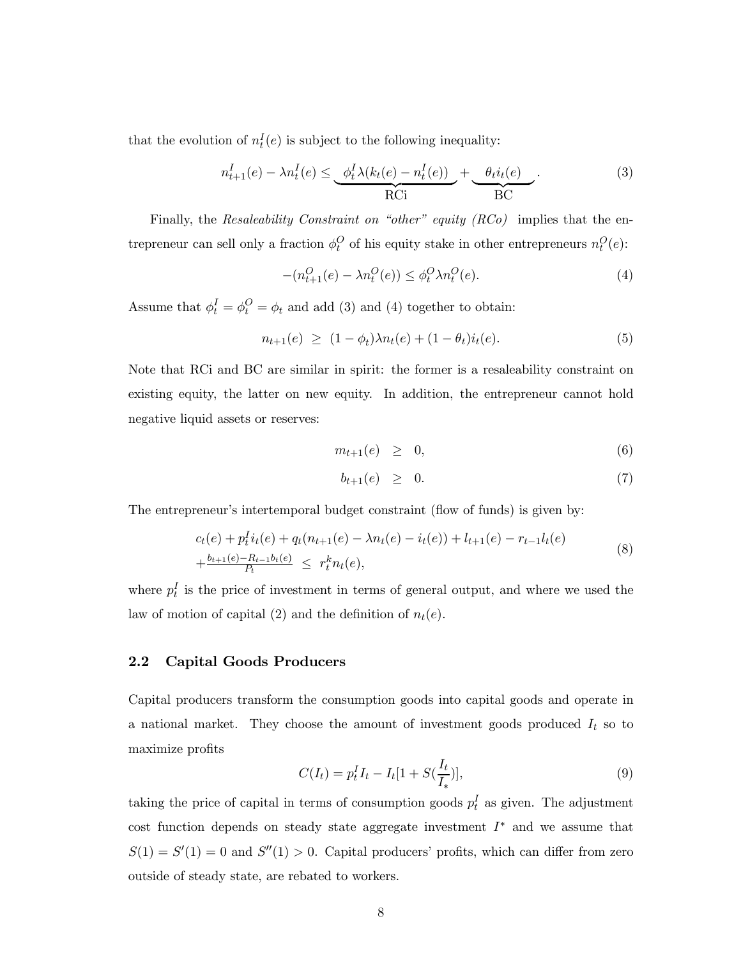that the evolution of  $n_t^I(e)$  is subject to the following inequality:

$$
n_{t+1}^{I}(e) - \lambda n_t^{I}(e) \le \underbrace{\phi_t^{I} \lambda(k_t(e) - n_t^{I}(e))}_{\text{RCi}} + \underbrace{\phi_t i_t(e)}_{\text{BC}}.
$$
\n(3)

Finally, the Resaleability Constraint on "other" equity  $(RCo)$  implies that the entrepreneur can sell only a fraction  $\phi_t^O$  of his equity stake in other entrepreneurs  $n_t^O(e)$ :

$$
-(n_{t+1}^O(e) - \lambda n_t^O(e)) \le \phi_t^O \lambda n_t^O(e). \tag{4}
$$

Assume that  $\phi_t^I = \phi_t^O = \phi_t$  and add (3) and (4) together to obtain:

$$
n_{t+1}(e) \ge (1 - \phi_t) \lambda n_t(e) + (1 - \theta_t) i_t(e). \tag{5}
$$

Note that RCi and BC are similar in spirit: the former is a resaleability constraint on existing equity, the latter on new equity. In addition, the entrepreneur cannot hold negative liquid assets or reserves:

$$
m_{t+1}(e) \geq 0, \tag{6}
$$

$$
b_{t+1}(e) \geq 0. \tag{7}
$$

The entrepreneur's intertemporal budget constraint (flow of funds) is given by:

$$
c_t(e) + p_t^I i_t(e) + q_t(n_{t+1}(e) - \lambda n_t(e) - i_t(e)) + l_{t+1}(e) - r_{t-1}l_t(e)
$$
  
+ 
$$
\frac{b_{t+1}(e) - R_{t-1}b_t(e)}{P_t} \leq r_t^k n_t(e),
$$
 (8)

where  $p_t^I$  is the price of investment in terms of general output, and where we used the law of motion of capital (2) and the definition of  $n_t(e)$ .

#### 2.2 Capital Goods Producers

Capital producers transform the consumption goods into capital goods and operate in a national market. They choose the amount of investment goods produced  $I_t$  so to maximize profits

$$
C(I_t) = p_t^I I_t - I_t [1 + S(\frac{I_t}{I_*})], \tag{9}
$$

taking the price of capital in terms of consumption goods  $p_t^I$  as given. The adjustment cost function depends on steady state aggregate investment I∗ and we assume that  $S(1) = S'(1) = 0$  and  $S''(1) > 0$ . Capital producers' profits, which can differ from zero outside of steady state, are rebated to workers.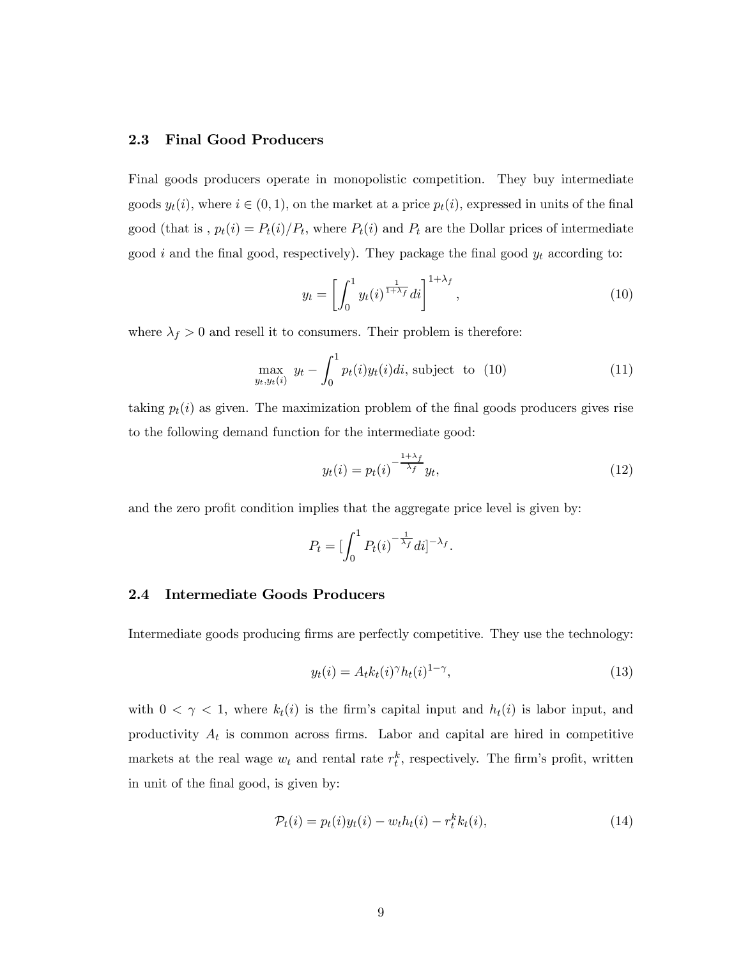#### 2.3 Final Good Producers

Final goods producers operate in monopolistic competition. They buy intermediate goods  $y_t(i)$ , where  $i \in (0, 1)$ , on the market at a price  $p_t(i)$ , expressed in units of the final good (that is,  $p_t(i) = P_t(i)/P_t$ , where  $P_t(i)$  and  $P_t$  are the Dollar prices of intermediate good  $i$  and the final good, respectively). They package the final good  $y_t$  according to:

$$
y_t = \left[ \int_0^1 y_t(i)^{\frac{1}{1+\lambda_f}} di \right]^{1+\lambda_f},\tag{10}
$$

where  $\lambda_f > 0$  and resell it to consumers. Their problem is therefore:

$$
\max_{y_t, y_t(i)} y_t - \int_0^1 p_t(i)y_t(i)di, \text{ subject to } (10)
$$
\n(11)

taking  $p_t(i)$  as given. The maximization problem of the final goods producers gives rise to the following demand function for the intermediate good:

$$
y_t(i) = p_t(i)^{-\frac{1+\lambda_f}{\lambda_f}} y_t,
$$
\n(12)

and the zero profit condition implies that the aggregate price level is given by:

$$
P_t = \left[\int_0^1 P_t(i)^{-\frac{1}{\lambda_f}} di\right]^{-\lambda_f}.
$$

#### 2.4 Intermediate Goods Producers

Intermediate goods producing firms are perfectly competitive. They use the technology:

$$
y_t(i) = A_t k_t(i)^\gamma h_t(i)^{1-\gamma},\tag{13}
$$

with  $0 < \gamma < 1$ , where  $k_t(i)$  is the firm's capital input and  $h_t(i)$  is labor input, and productivity  $A_t$  is common across firms. Labor and capital are hired in competitive markets at the real wage  $w_t$  and rental rate  $r_t^k$ , respectively. The firm's profit, written in unit of the final good, is given by:

$$
\mathcal{P}_t(i) = p_t(i)y_t(i) - w_t h_t(i) - r_t^k k_t(i), \qquad (14)
$$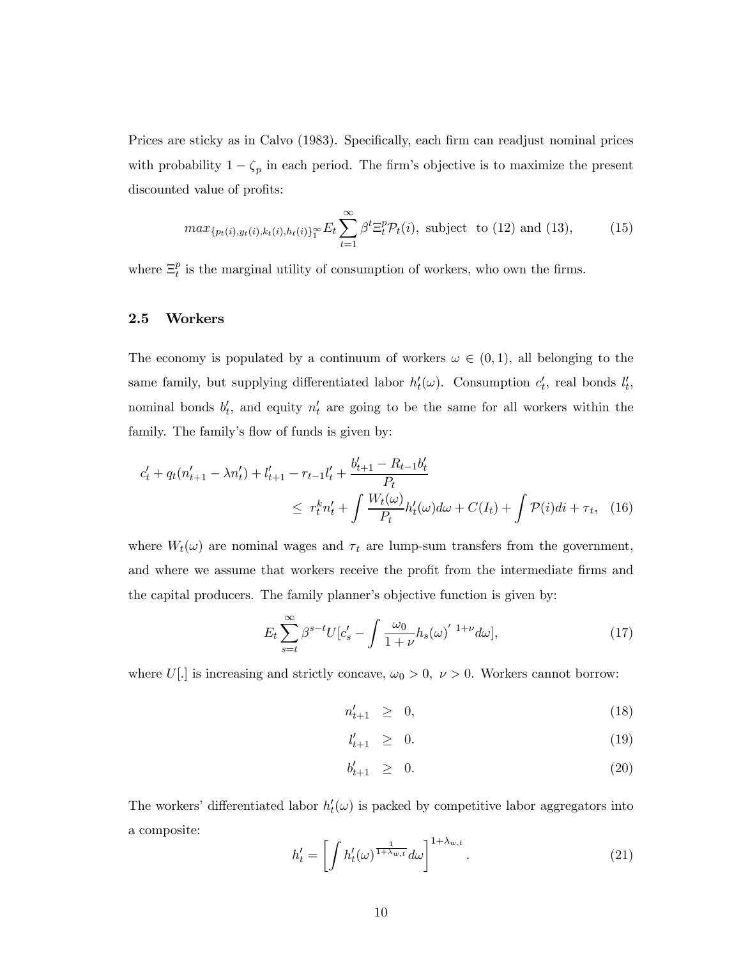Prices are sticky as in Calvo (1983). Specifically, each firm can readjust nominal prices with probability  $1 - \zeta_p$  in each period. The firm's objective is to maximize the present discounted value of profits:

$$
max_{\{p_t(i), y_t(i), k_t(i), h_t(i)\}^{\infty}_1} E_t \sum_{t=1}^{\infty} \beta^t \Xi_t^p \mathcal{P}_t(i), \text{ subject to (12) and (13)}, \quad (15)
$$

where  $\Xi_t^p$  is the marginal utility of consumption of workers, who own the firms.

#### 2.5 Workers

The economy is populated by a continuum of workers  $\omega \in (0,1)$ , all belonging to the same family, but supplying differentiated labor  $h'_t(\omega)$ . Consumption  $c'_t$ , real bonds  $l'_t$ , nominal bonds  $b'_t$ , and equity  $n'_t$  are going to be the same for all workers within the family. The family's flow of funds is given by:

$$
c'_{t} + q_{t}(n'_{t+1} - \lambda n'_{t}) + l'_{t+1} - r_{t-1}l'_{t} + \frac{b'_{t+1} - R_{t-1}b'_{t}}{P_{t}}
$$
  
 
$$
\leq r_{t}^{k} n'_{t} + \int \frac{W_{t}(\omega)}{P_{t}} h'_{t}(\omega) d\omega + C(I_{t}) + \int \mathcal{P}(i) di + \tau_{t}, \quad (16)
$$

where  $W_t(\omega)$  are nominal wages and  $\tau_t$  are lump-sum transfers from the government, and where we assume that workers receive the profit from the intermediate firms and the capital producers. The family planner's objective function is given by:

$$
E_t \sum_{s=t}^{\infty} \beta^{s-t} U[c'_s - \int \frac{\omega_0}{1+\nu} h_s(\omega)^{'1+\nu} d\omega], \qquad (17)
$$

where U[.] is increasing and strictly concave,  $\omega_0 > 0$ ,  $\nu > 0$ . Workers cannot borrow:

$$
n'_{t+1} \geq 0,\tag{18}
$$

$$
l'_{t+1} \geq 0. \tag{19}
$$

$$
b'_{t+1} \geq 0. \tag{20}
$$

The workers' differentiated labor  $h'_t(\omega)$  is packed by competitive labor aggregators into a composite:

$$
h_t' = \left[ \int h_t'(\omega)^{\frac{1}{1 + \lambda_{w,t}}} d\omega \right]^{1 + \lambda_{w,t}}.
$$
\n(21)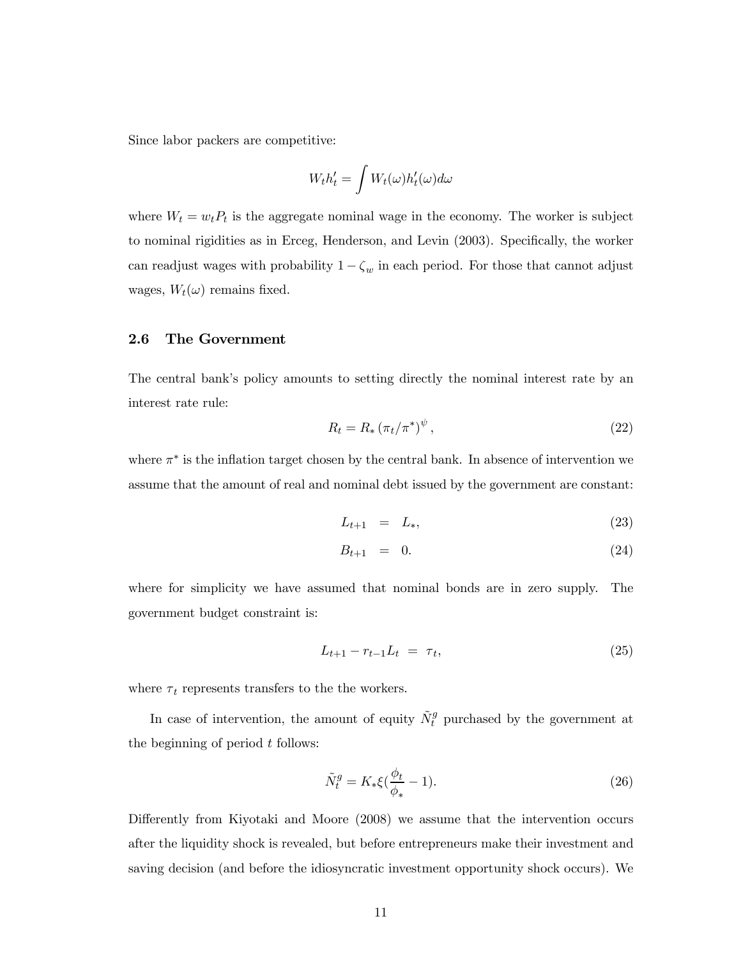Since labor packers are competitive:

$$
W_t h_t' = \int W_t(\omega) h_t'(\omega) d\omega
$$

where  $W_t = w_t P_t$  is the aggregate nominal wage in the economy. The worker is subject to nominal rigidities as in Erceg, Henderson, and Levin (2003). Specifically, the worker can readjust wages with probability  $1 - \zeta_w$  in each period. For those that cannot adjust wages,  $W_t(\omega)$  remains fixed.

#### 2.6 The Government

The central bank's policy amounts to setting directly the nominal interest rate by an interest rate rule:

$$
R_t = R_* \left(\pi_t/\pi^*\right)^{\psi},\tag{22}
$$

where  $\pi^*$  is the inflation target chosen by the central bank. In absence of intervention we assume that the amount of real and nominal debt issued by the government are constant:

$$
L_{t+1} = L_*, \t\t(23)
$$

$$
B_{t+1} = 0. \t\t(24)
$$

where for simplicity we have assumed that nominal bonds are in zero supply. The government budget constraint is:

$$
L_{t+1} - r_{t-1}L_t = \tau_t, \tag{25}
$$

where  $\tau_t$  represents transfers to the the workers.

In case of intervention, the amount of equity  $\tilde{N}^g_t$  purchased by the government at the beginning of period  $t$  follows:

$$
\tilde{N}_t^g = K_* \xi \left(\frac{\phi_t}{\phi_*} - 1\right). \tag{26}
$$

Differently from Kiyotaki and Moore (2008) we assume that the intervention occurs after the liquidity shock is revealed, but before entrepreneurs make their investment and saving decision (and before the idiosyncratic investment opportunity shock occurs). We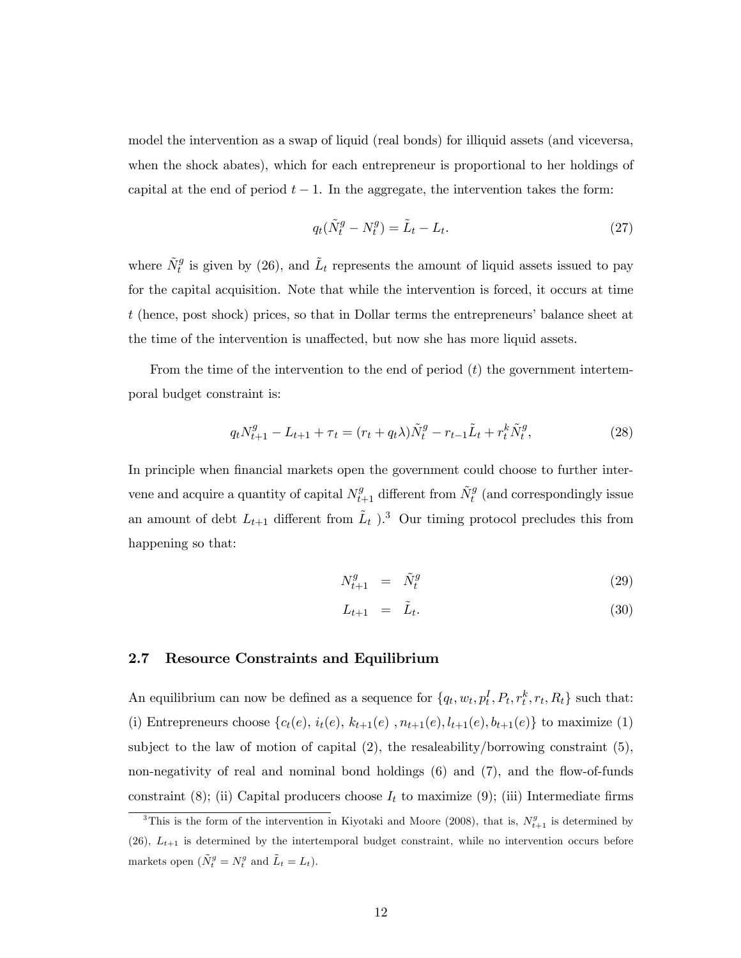model the intervention as a swap of liquid (real bonds) for illiquid assets (and viceversa, when the shock abates), which for each entrepreneur is proportional to her holdings of capital at the end of period  $t - 1$ . In the aggregate, the intervention takes the form:

$$
q_t(\tilde{N}_t^g - N_t^g) = \tilde{L}_t - L_t.
$$
\n<sup>(27)</sup>

where  $\tilde{N}_t^g$  is given by (26), and  $\tilde{L}_t$  represents the amount of liquid assets issued to pay for the capital acquisition. Note that while the intervention is forced, it occurs at time t (hence, post shock) prices, so that in Dollar terms the entrepreneurs' balance sheet at the time of the intervention is unaffected, but now she has more liquid assets.

From the time of the intervention to the end of period  $(t)$  the government intertemporal budget constraint is:

$$
q_t N_{t+1}^g - L_{t+1} + \tau_t = (r_t + q_t \lambda) \tilde{N}_t^g - r_{t-1} \tilde{L}_t + r_t^k \tilde{N}_t^g,
$$
\n(28)

In principle when financial markets open the government could choose to further intervene and acquire a quantity of capital  $N_{t+1}^g$  different from  $\tilde{N}_t^g$  (and correspondingly issue an amount of debt  $L_{t+1}$  different from  $\tilde{L}_t$  ).<sup>3</sup> Our timing protocol precludes this from happening so that:

$$
N_{t+1}^g = \tilde{N}_t^g \tag{29}
$$

$$
L_{t+1} = \tilde{L}_t. \tag{30}
$$

#### 2.7 Resource Constraints and Equilibrium

An equilibrium can now be defined as a sequence for  $\{q_t, w_t, p_t^I, P_t, r_t^k, r_t, R_t\}$  such that: (i) Entrepreneurs choose  $\{c_t(e), i_t(e), k_{t+1}(e), n_{t+1}(e), l_{t+1}(e), b_{t+1}(e)\}$  to maximize (1) subject to the law of motion of capital  $(2)$ , the resaleability/borrowing constraint  $(5)$ , non-negativity of real and nominal bond holdings (6) and (7), and the flow-of-funds constraint (8); (ii) Capital producers choose  $I_t$  to maximize (9); (iii) Intermediate firms

<sup>&</sup>lt;sup>3</sup>This is the form of the intervention in Kiyotaki and Moore (2008), that is,  $N_{t+1}^g$  is determined by (26),  $L_{t+1}$  is determined by the intertemporal budget constraint, while no intervention occurs before markets open  $(\tilde{N}_t^g = N_t^g \text{ and } \tilde{L}_t = L_t).$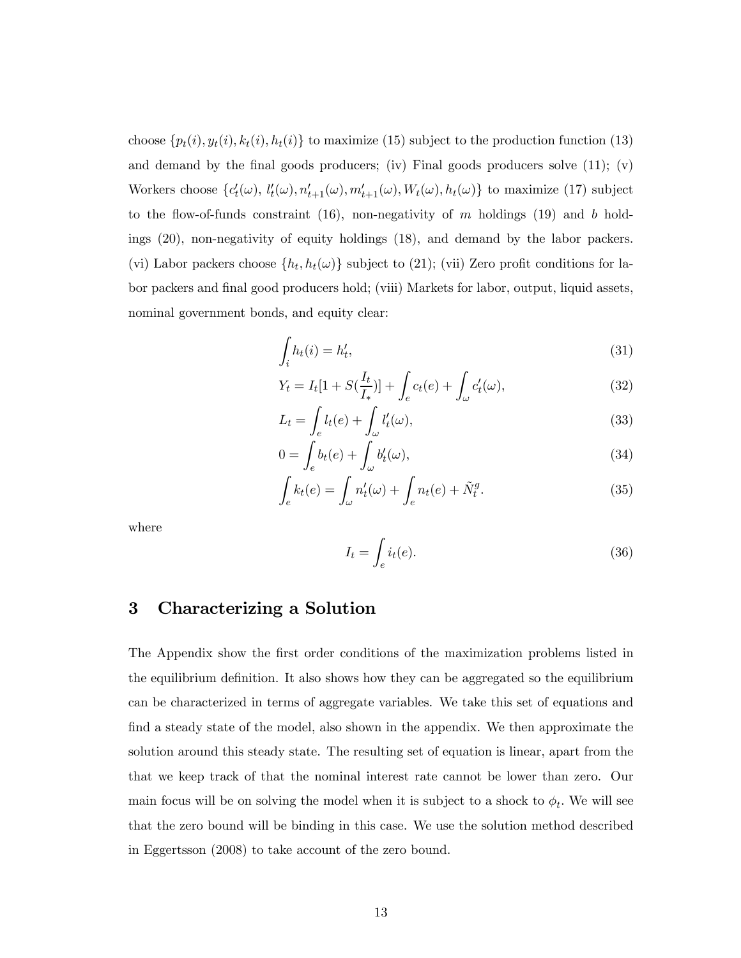choose  $\{p_t(i), y_t(i), k_t(i), h_t(i)\}\$ to maximize (15) subject to the production function (13) and demand by the final goods producers; (iv) Final goods producers solve  $(11)$ ; (v) Workers choose  $\{c'_t(\omega), l'_t(\omega), n'_{t+1}(\omega), m'_{t+1}(\omega), W_t(\omega), h_t(\omega)\}\)$  to maximize (17) subject to the flow-of-funds constraint (16), non-negativity of  $m$  holdings (19) and  $b$  holdings (20), non-negativity of equity holdings (18), and demand by the labor packers. (vi) Labor packers choose  $\{h_t, h_t(\omega)\}\$  subject to (21); (vii) Zero profit conditions for labor packers and final good producers hold; (viii) Markets for labor, output, liquid assets, nominal government bonds, and equity clear:

$$
\int_{i} h_t(i) = h'_t,\tag{31}
$$

$$
Y_t = I_t[1 + S(\frac{I_t}{I_*})] + \int_e c_t(e) + \int_\omega c'_t(\omega), \tag{32}
$$

$$
L_t = \int_e l_t(e) + \int_{\omega} l'_t(\omega), \qquad (33)
$$

$$
0 = \int_{e} b_t(e) + \int_{\omega} b'_t(\omega), \tag{34}
$$

$$
\int_{e} k_t(e) = \int_{\omega} n'_t(\omega) + \int_{e} n_t(e) + \tilde{N}_t^g.
$$
\n(35)

where

$$
I_t = \int_e i_t(e). \tag{36}
$$

### 3 Characterizing a Solution

The Appendix show the first order conditions of the maximization problems listed in the equilibrium definition. It also shows how they can be aggregated so the equilibrium can be characterized in terms of aggregate variables. We take this set of equations and find a steady state of the model, also shown in the appendix. We then approximate the solution around this steady state. The resulting set of equation is linear, apart from the that we keep track of that the nominal interest rate cannot be lower than zero. Our main focus will be on solving the model when it is subject to a shock to  $\phi_t$ . We will see that the zero bound will be binding in this case. We use the solution method described in Eggertsson (2008) to take account of the zero bound.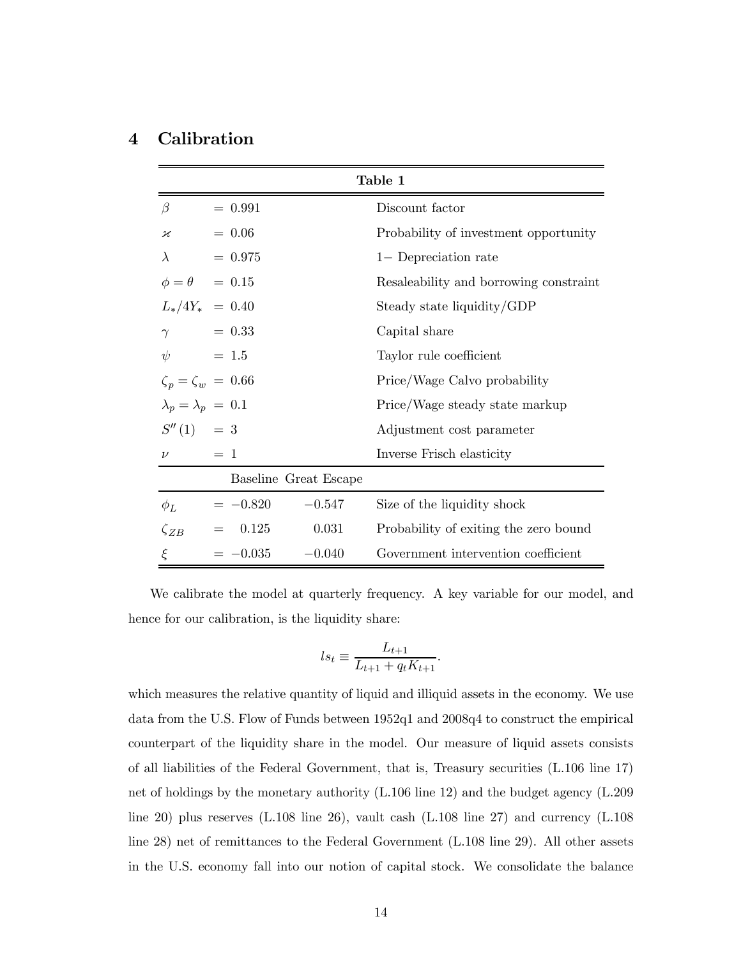## 4 Calibration

| Table 1                     |                                 |                       |                                        |  |  |
|-----------------------------|---------------------------------|-----------------------|----------------------------------------|--|--|
| B                           | $= 0.991$                       |                       | Discount factor                        |  |  |
| $\boldsymbol{\varkappa}$    | $= 0.06$                        |                       | Probability of investment opportunity  |  |  |
| $\lambda$                   | $= 0.975$                       |                       | 1- Depreciation rate                   |  |  |
|                             | $\phi = \theta \quad = \, 0.15$ |                       | Resaleability and borrowing constraint |  |  |
|                             | $L_*/4Y_* = 0.40$               |                       | Steady state liquidity/GDP             |  |  |
| $\gamma$                    | $= 0.33$                        |                       | Capital share                          |  |  |
| $\psi$                      | $= 1.5$                         |                       | Taylor rule coefficient                |  |  |
|                             | $\zeta_p = \zeta_w = 0.66$      |                       | Price/Wage Calvo probability           |  |  |
| $\lambda_p=\lambda_p~=~0.1$ |                                 |                       | Price/Wage steady state markup         |  |  |
| $S''(1) = 3$                |                                 |                       | Adjustment cost parameter              |  |  |
| $\nu$                       | $= 1$                           |                       | Inverse Frisch elasticity              |  |  |
|                             |                                 | Baseline Great Escape |                                        |  |  |
| $\phi_L$                    | $=-0.820$                       | $-0.547$              | Size of the liquidity shock            |  |  |
| $\zeta_{ZB}$                | 0.125<br>$=$                    | 0.031                 | Probability of exiting the zero bound  |  |  |
| $\xi$                       | $=-0.035$                       | $-0.040$              | Government intervention coefficient    |  |  |

We calibrate the model at quarterly frequency. A key variable for our model, and hence for our calibration, is the liquidity share:

$$
ls_t \equiv \frac{L_{t+1}}{L_{t+1} + q_t K_{t+1}}.
$$

which measures the relative quantity of liquid and illiquid assets in the economy. We use data from the U.S. Flow of Funds between 1952q1 and 2008q4 to construct the empirical counterpart of the liquidity share in the model. Our measure of liquid assets consists of all liabilities of the Federal Government, that is, Treasury securities (L.106 line 17) net of holdings by the monetary authority (L.106 line 12) and the budget agency (L.209 line 20) plus reserves (L.108 line 26), vault cash (L.108 line 27) and currency (L.108 line 28) net of remittances to the Federal Government (L.108 line 29). All other assets in the U.S. economy fall into our notion of capital stock. We consolidate the balance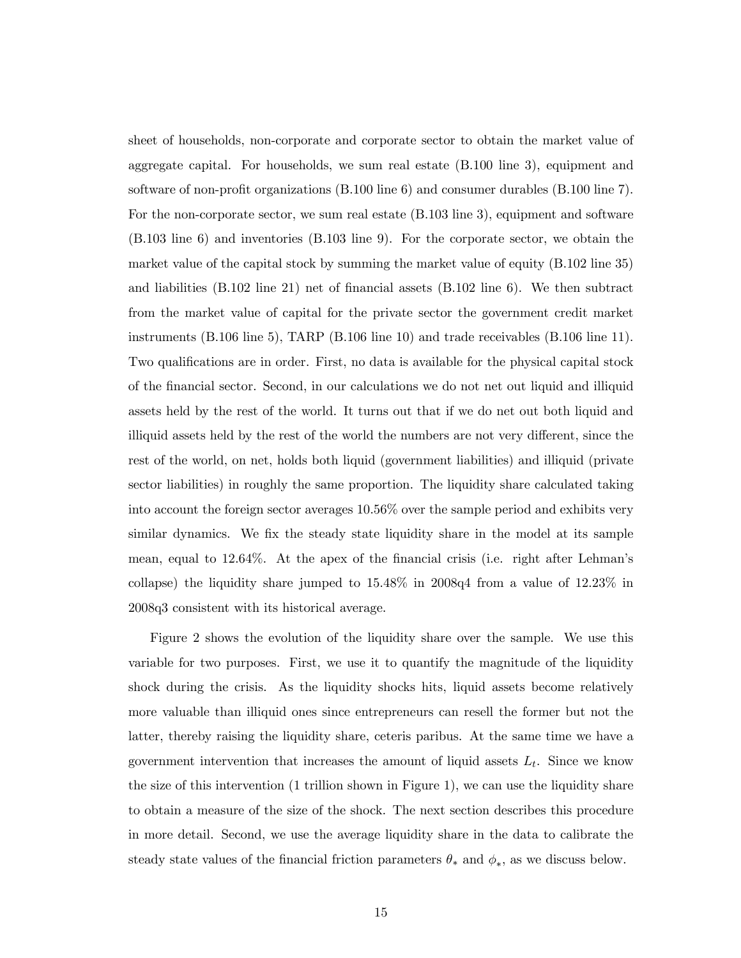sheet of households, non-corporate and corporate sector to obtain the market value of aggregate capital. For households, we sum real estate (B.100 line 3), equipment and software of non-profit organizations (B.100 line 6) and consumer durables (B.100 line 7). For the non-corporate sector, we sum real estate (B.103 line 3), equipment and software (B.103 line 6) and inventories (B.103 line 9). For the corporate sector, we obtain the market value of the capital stock by summing the market value of equity (B.102 line 35) and liabilities (B.102 line 21) net of financial assets (B.102 line 6). We then subtract from the market value of capital for the private sector the government credit market instruments (B.106 line 5), TARP (B.106 line 10) and trade receivables (B.106 line 11). Two qualifications are in order. First, no data is available for the physical capital stock of the financial sector. Second, in our calculations we do not net out liquid and illiquid assets held by the rest of the world. It turns out that if we do net out both liquid and illiquid assets held by the rest of the world the numbers are not very different, since the rest of the world, on net, holds both liquid (government liabilities) and illiquid (private sector liabilities) in roughly the same proportion. The liquidity share calculated taking into account the foreign sector averages 10.56% over the sample period and exhibits very similar dynamics. We fix the steady state liquidity share in the model at its sample mean, equal to 12.64%. At the apex of the financial crisis (i.e. right after Lehman's collapse) the liquidity share jumped to 15.48% in 2008q4 from a value of 12.23% in 2008q3 consistent with its historical average.

Figure 2 shows the evolution of the liquidity share over the sample. We use this variable for two purposes. First, we use it to quantify the magnitude of the liquidity shock during the crisis. As the liquidity shocks hits, liquid assets become relatively more valuable than illiquid ones since entrepreneurs can resell the former but not the latter, thereby raising the liquidity share, ceteris paribus. At the same time we have a government intervention that increases the amount of liquid assets  $L_t$ . Since we know the size of this intervention (1 trillion shown in Figure 1), we can use the liquidity share to obtain a measure of the size of the shock. The next section describes this procedure in more detail. Second, we use the average liquidity share in the data to calibrate the steady state values of the financial friction parameters  $\theta_*$  and  $\phi_*$ , as we discuss below.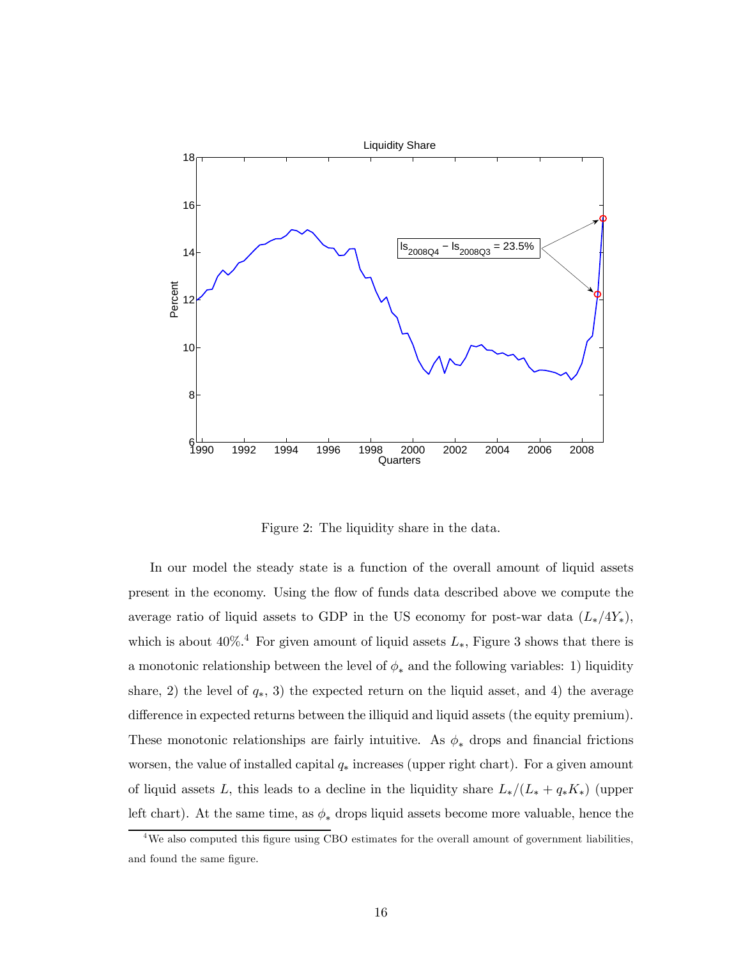

Figure 2: The liquidity share in the data.

In our model the steady state is a function of the overall amount of liquid assets present in the economy. Using the flow of funds data described above we compute the average ratio of liquid assets to GDP in the US economy for post-war data  $(L_*/4Y_*)$ , which is about  $40\%$ <sup>4</sup>. For given amount of liquid assets  $L_*$ , Figure 3 shows that there is a monotonic relationship between the level of  $\phi_*$  and the following variables: 1) liquidity share, 2) the level of  $q_*, 3$  the expected return on the liquid asset, and 4) the average difference in expected returns between the illiquid and liquid assets (the equity premium). These monotonic relationships are fairly intuitive. As  $\phi_*$  drops and financial frictions worsen, the value of installed capital  $q_*$  increases (upper right chart). For a given amount of liquid assets L, this leads to a decline in the liquidity share  $L_*/(L_* + q_*K_*)$  (upper left chart). At the same time, as  $\phi_*$  drops liquid assets become more valuable, hence the

<sup>&</sup>lt;sup>4</sup>We also computed this figure using CBO estimates for the overall amount of government liabilities, and found the same figure.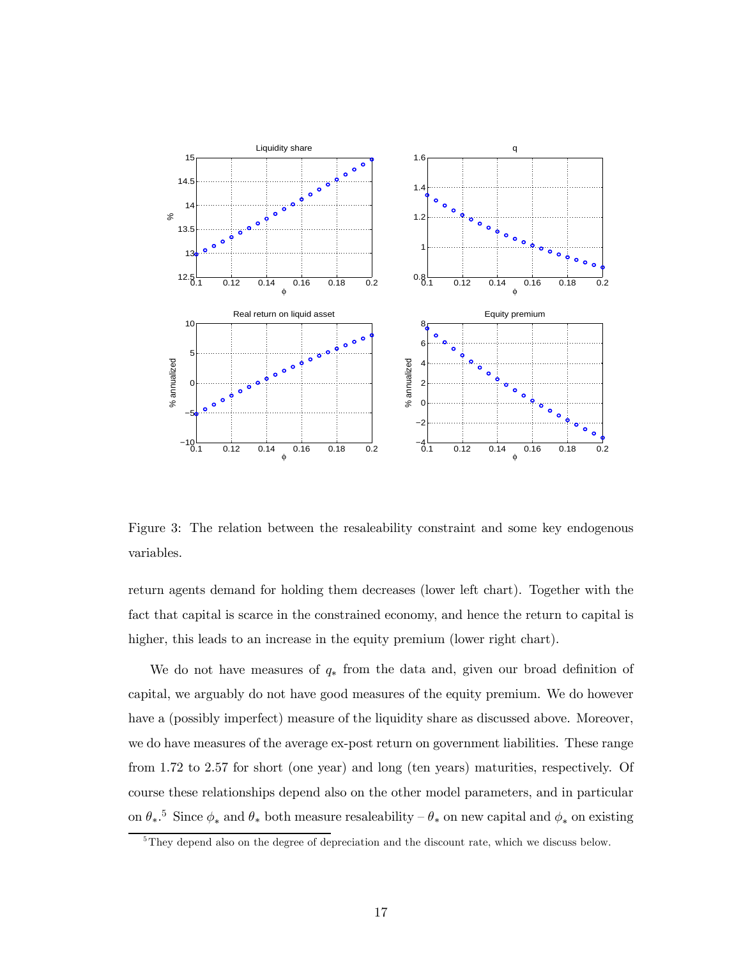

Figure 3: The relation between the resaleability constraint and some key endogenous variables.

return agents demand for holding them decreases (lower left chart). Together with the fact that capital is scarce in the constrained economy, and hence the return to capital is higher, this leads to an increase in the equity premium (lower right chart).

We do not have measures of  $q_*$  from the data and, given our broad definition of capital, we arguably do not have good measures of the equity premium. We do however have a (possibly imperfect) measure of the liquidity share as discussed above. Moreover, we do have measures of the average ex-post return on government liabilities. These range from 1.72 to 2.57 for short (one year) and long (ten years) maturities, respectively. Of course these relationships depend also on the other model parameters, and in particular on  $\theta_*$ <sup>5</sup>. Since  $\phi_*$  and  $\theta_*$  both measure resaleability –  $\theta_*$  on new capital and  $\phi_*$  on existing

 $5$ They depend also on the degree of depreciation and the discount rate, which we discuss below.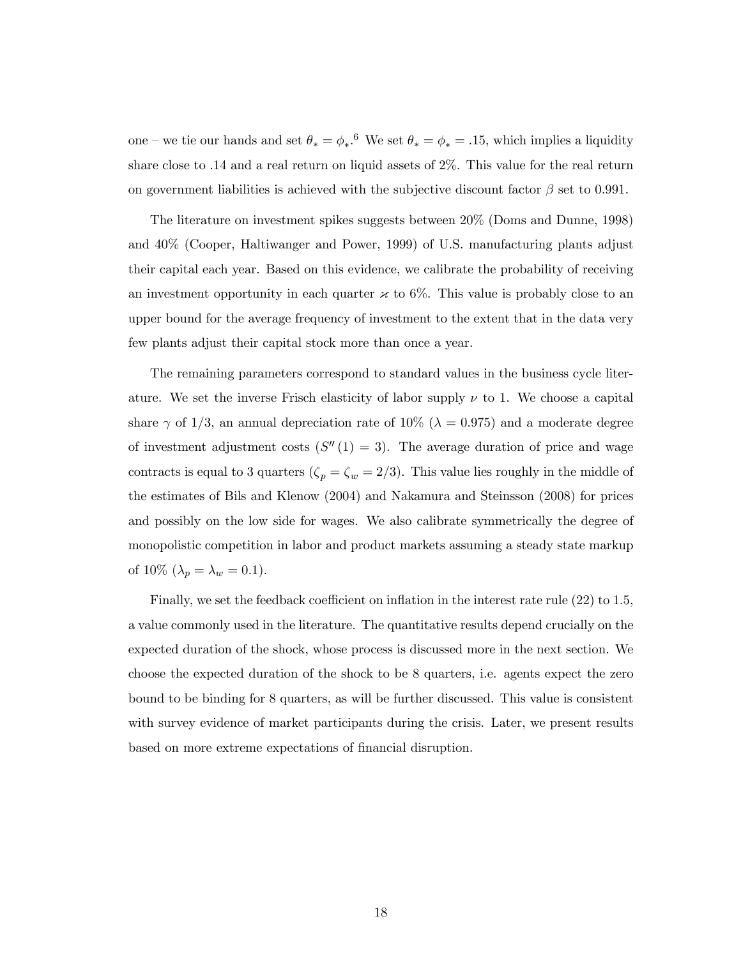one – we tie our hands and set  $\theta_* = \phi_*$ .<sup>6</sup> We set  $\theta_* = \phi_* = .15$ , which implies a liquidity share close to .14 and a real return on liquid assets of 2%. This value for the real return on government liabilities is achieved with the subjective discount factor  $\beta$  set to 0.991.

The literature on investment spikes suggests between 20% (Doms and Dunne, 1998) and 40% (Cooper, Haltiwanger and Power, 1999) of U.S. manufacturing plants adjust their capital each year. Based on this evidence, we calibrate the probability of receiving an investment opportunity in each quarter  $\varkappa$  to 6%. This value is probably close to an upper bound for the average frequency of investment to the extent that in the data very few plants adjust their capital stock more than once a year.

The remaining parameters correspond to standard values in the business cycle literature. We set the inverse Frisch elasticity of labor supply  $\nu$  to 1. We choose a capital share  $\gamma$  of 1/3, an annual depreciation rate of 10% ( $\lambda = 0.975$ ) and a moderate degree of investment adjustment costs  $(S''(1) = 3)$ . The average duration of price and wage contracts is equal to 3 quarters ( $\zeta_p = \zeta_w = 2/3$ ). This value lies roughly in the middle of the estimates of Bils and Klenow (2004) and Nakamura and Steinsson (2008) for prices and possibly on the low side for wages. We also calibrate symmetrically the degree of monopolistic competition in labor and product markets assuming a steady state markup of 10% ( $\lambda_p = \lambda_w = 0.1$ ).

Finally, we set the feedback coefficient on inflation in the interest rate rule (22) to 1.5, a value commonly used in the literature. The quantitative results depend crucially on the expected duration of the shock, whose process is discussed more in the next section. We choose the expected duration of the shock to be 8 quarters, i.e. agents expect the zero bound to be binding for 8 quarters, as will be further discussed. This value is consistent with survey evidence of market participants during the crisis. Later, we present results based on more extreme expectations of financial disruption.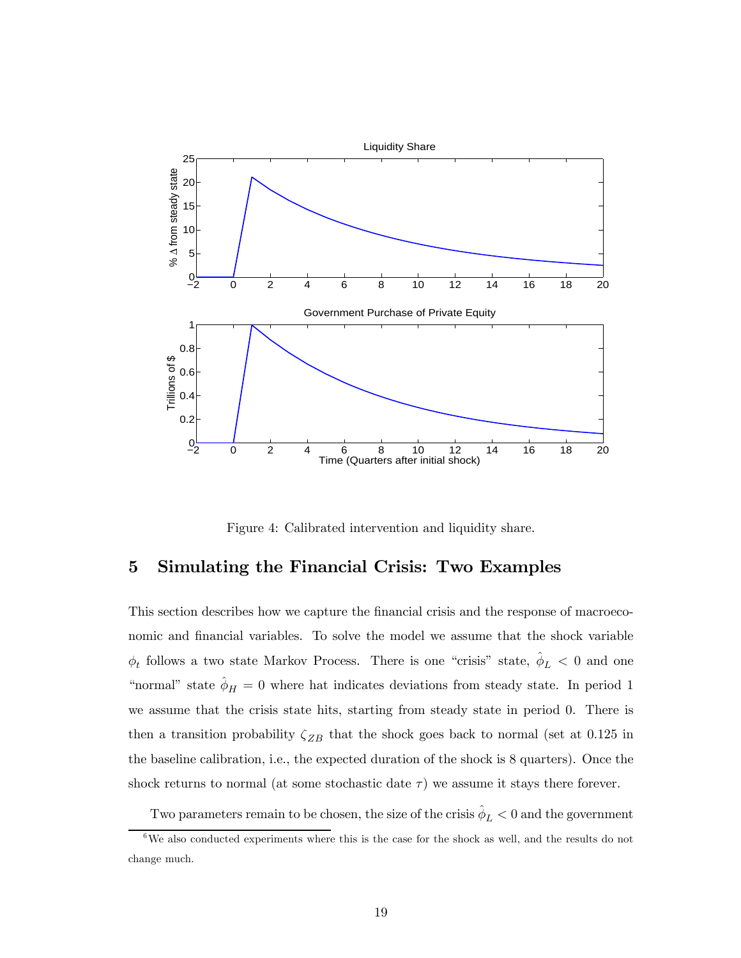

Figure 4: Calibrated intervention and liquidity share.

## 5 Simulating the Financial Crisis: Two Examples

This section describes how we capture the financial crisis and the response of macroeconomic and financial variables. To solve the model we assume that the shock variable  $\phi_t$  follows a two state Markov Process. There is one "crisis" state,  $\hat{\phi}_L < 0$  and one "normal" state  $\hat{\phi}_H = 0$  where hat indicates deviations from steady state. In period 1 we assume that the crisis state hits, starting from steady state in period 0. There is then a transition probability  $\zeta_{ZB}$  that the shock goes back to normal (set at 0.125 in the baseline calibration, i.e., the expected duration of the shock is 8 quarters). Once the shock returns to normal (at some stochastic date  $\tau$ ) we assume it stays there forever.

Two parameters remain to be chosen, the size of the crisis  $\hat{\phi}_L < 0$  and the government

 $6\text{We also conducted experiments where this is the case for the shock as well, and the results do not.}$ change much.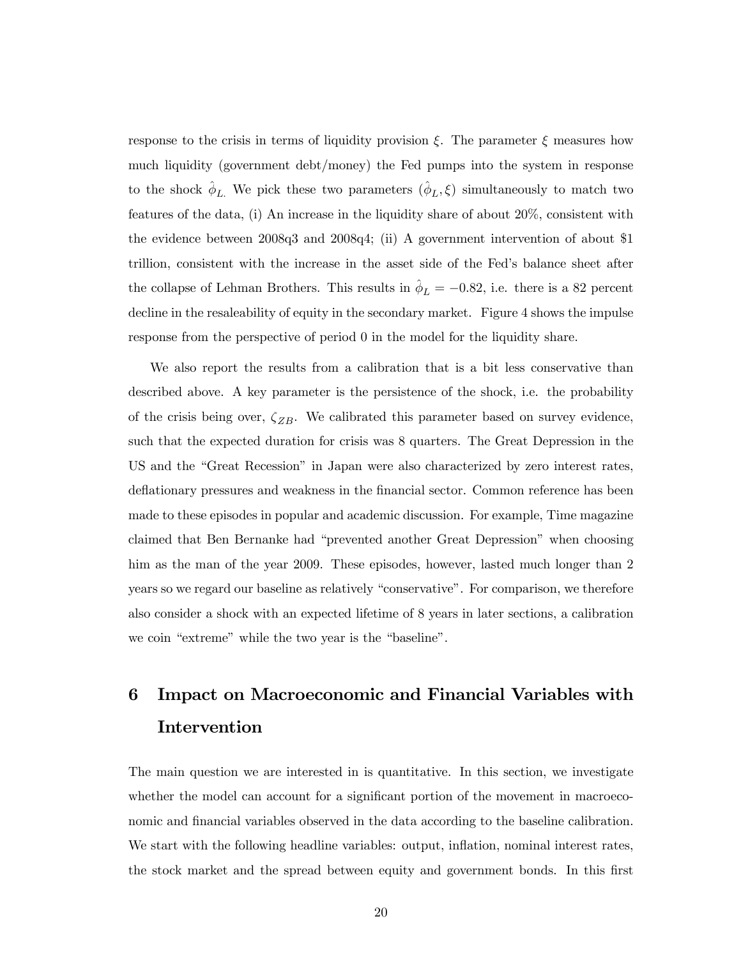response to the crisis in terms of liquidity provision  $\xi$ . The parameter  $\xi$  measures how much liquidity (government debt/money) the Fed pumps into the system in response to the shock  $\hat{\phi}_L$ . We pick these two parameters  $(\hat{\phi}_L, \xi)$  simultaneously to match two features of the data, (i) An increase in the liquidity share of about 20%, consistent with the evidence between 2008q3 and 2008q4; (ii) A government intervention of about \$1 trillion, consistent with the increase in the asset side of the Fed's balance sheet after the collapse of Lehman Brothers. This results in  $\phi_L = -0.82$ , i.e. there is a 82 percent decline in the resaleability of equity in the secondary market. Figure 4 shows the impulse response from the perspective of period 0 in the model for the liquidity share.

We also report the results from a calibration that is a bit less conservative than described above. A key parameter is the persistence of the shock, i.e. the probability of the crisis being over,  $\zeta_{ZB}$ . We calibrated this parameter based on survey evidence, such that the expected duration for crisis was 8 quarters. The Great Depression in the US and the "Great Recession" in Japan were also characterized by zero interest rates, deflationary pressures and weakness in the financial sector. Common reference has been made to these episodes in popular and academic discussion. For example, Time magazine claimed that Ben Bernanke had "prevented another Great Depression" when choosing him as the man of the year 2009. These episodes, however, lasted much longer than 2 years so we regard our baseline as relatively "conservative". For comparison, we therefore also consider a shock with an expected lifetime of 8 years in later sections, a calibration we coin "extreme" while the two year is the "baseline".

# 6 Impact on Macroeconomic and Financial Variables with Intervention

The main question we are interested in is quantitative. In this section, we investigate whether the model can account for a significant portion of the movement in macroeconomic and financial variables observed in the data according to the baseline calibration. We start with the following headline variables: output, inflation, nominal interest rates, the stock market and the spread between equity and government bonds. In this first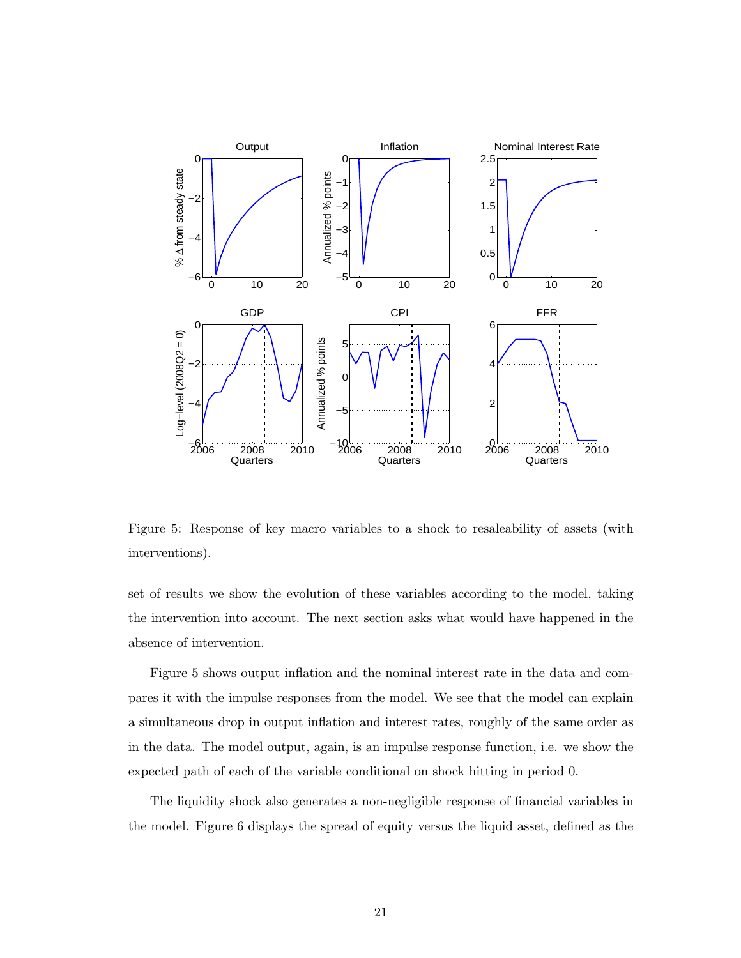

Figure 5: Response of key macro variables to a shock to resaleability of assets (with interventions).

set of results we show the evolution of these variables according to the model, taking the intervention into account. The next section asks what would have happened in the absence of intervention.

Figure 5 shows output inflation and the nominal interest rate in the data and compares it with the impulse responses from the model. We see that the model can explain a simultaneous drop in output inflation and interest rates, roughly of the same order as in the data. The model output, again, is an impulse response function, i.e. we show the expected path of each of the variable conditional on shock hitting in period 0.

The liquidity shock also generates a non-negligible response of financial variables in the model. Figure 6 displays the spread of equity versus the liquid asset, defined as the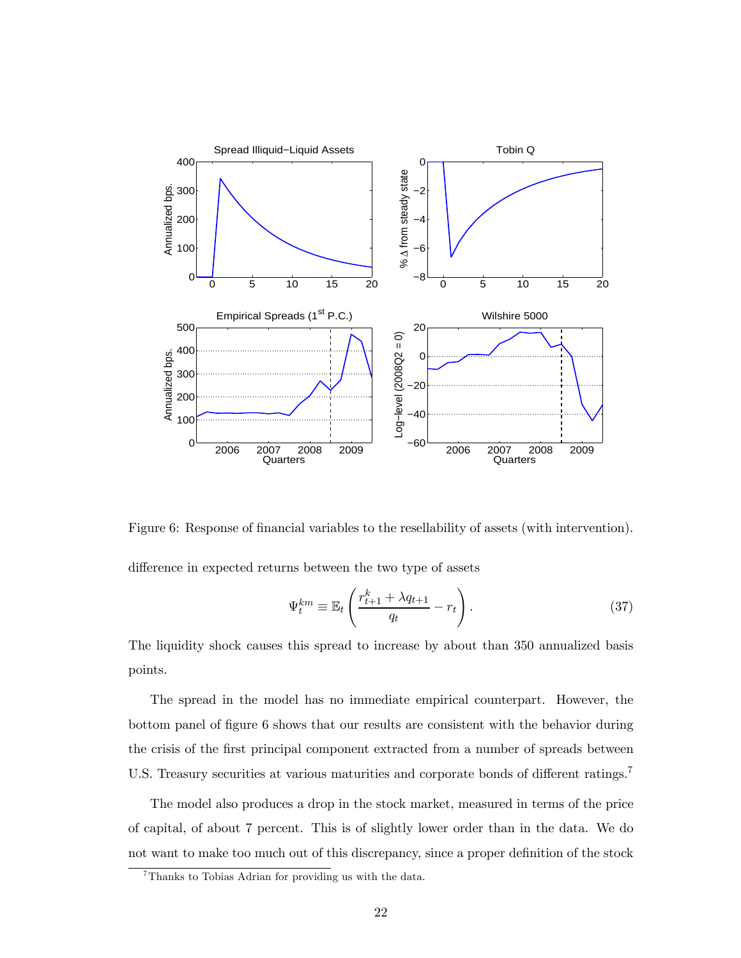

Figure 6: Response of financial variables to the resellability of assets (with intervention).

difference in expected returns between the two type of assets

$$
\Psi_t^{km} \equiv \mathbb{E}_t \left( \frac{r_{t+1}^k + \lambda q_{t+1}}{q_t} - r_t \right). \tag{37}
$$

The liquidity shock causes this spread to increase by about than 350 annualized basis points.

The spread in the model has no immediate empirical counterpart. However, the bottom panel of figure 6 shows that our results are consistent with the behavior during the crisis of the first principal component extracted from a number of spreads between U.S. Treasury securities at various maturities and corporate bonds of different ratings.<sup>7</sup>

The model also produces a drop in the stock market, measured in terms of the price of capital, of about 7 percent. This is of slightly lower order than in the data. We do not want to make too much out of this discrepancy, since a proper definition of the stock

<sup>7</sup>Thanks to Tobias Adrian for providing us with the data.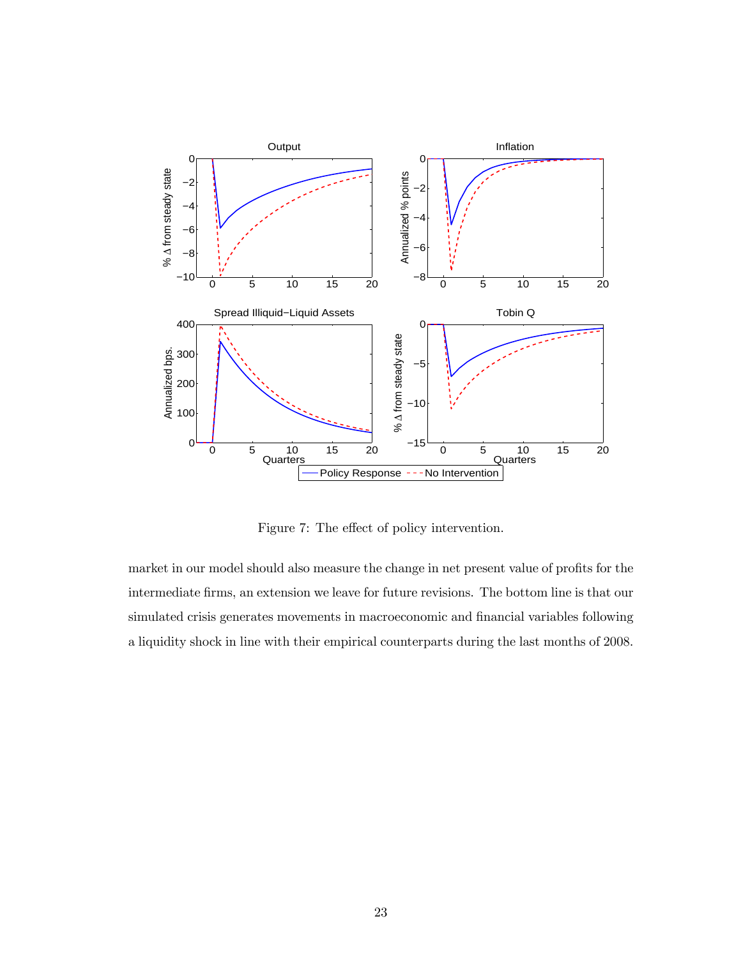

Figure 7: The effect of policy intervention.

market in our model should also measure the change in net present value of profits for the intermediate firms, an extension we leave for future revisions. The bottom line is that our simulated crisis generates movements in macroeconomic and financial variables following a liquidity shock in line with their empirical counterparts during the last months of 2008.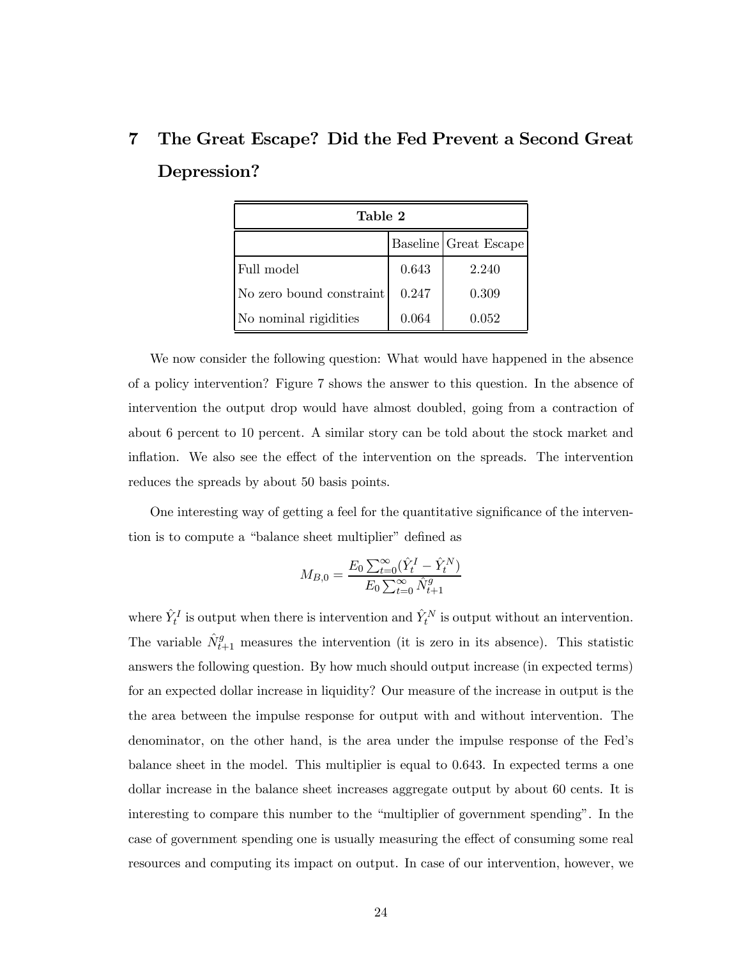# 7 The Great Escape? Did the Fed Prevent a Second Great Depression?

| Table 2                  |       |                       |  |  |  |
|--------------------------|-------|-----------------------|--|--|--|
|                          |       | Baseline Great Escape |  |  |  |
| Full model               | 0.643 | 2.240                 |  |  |  |
| No zero bound constraint | 0.247 | 0.309                 |  |  |  |
| No nominal rigidities    | 0.064 | 0.052                 |  |  |  |

We now consider the following question: What would have happened in the absence of a policy intervention? Figure 7 shows the answer to this question. In the absence of intervention the output drop would have almost doubled, going from a contraction of about 6 percent to 10 percent. A similar story can be told about the stock market and inflation. We also see the effect of the intervention on the spreads. The intervention reduces the spreads by about 50 basis points.

One interesting way of getting a feel for the quantitative significance of the intervention is to compute a "balance sheet multiplier" defined as

$$
M_{B,0} = \frac{E_0 \sum_{t=0}^{\infty} (\hat{Y}_t^I - \hat{Y}_t^N)}{E_0 \sum_{t=0}^{\infty} \hat{N}_{t+1}^g}
$$

where  $\hat{Y}_t^I$  is output when there is intervention and  $\hat{Y}_t^N$  is output without an intervention. The variable  $\hat{N}_{t+1}^g$  measures the intervention (it is zero in its absence). This statistic answers the following question. By how much should output increase (in expected terms) for an expected dollar increase in liquidity? Our measure of the increase in output is the the area between the impulse response for output with and without intervention. The denominator, on the other hand, is the area under the impulse response of the Fed's balance sheet in the model. This multiplier is equal to 0.643. In expected terms a one dollar increase in the balance sheet increases aggregate output by about 60 cents. It is interesting to compare this number to the "multiplier of government spending". In the case of government spending one is usually measuring the effect of consuming some real resources and computing its impact on output. In case of our intervention, however, we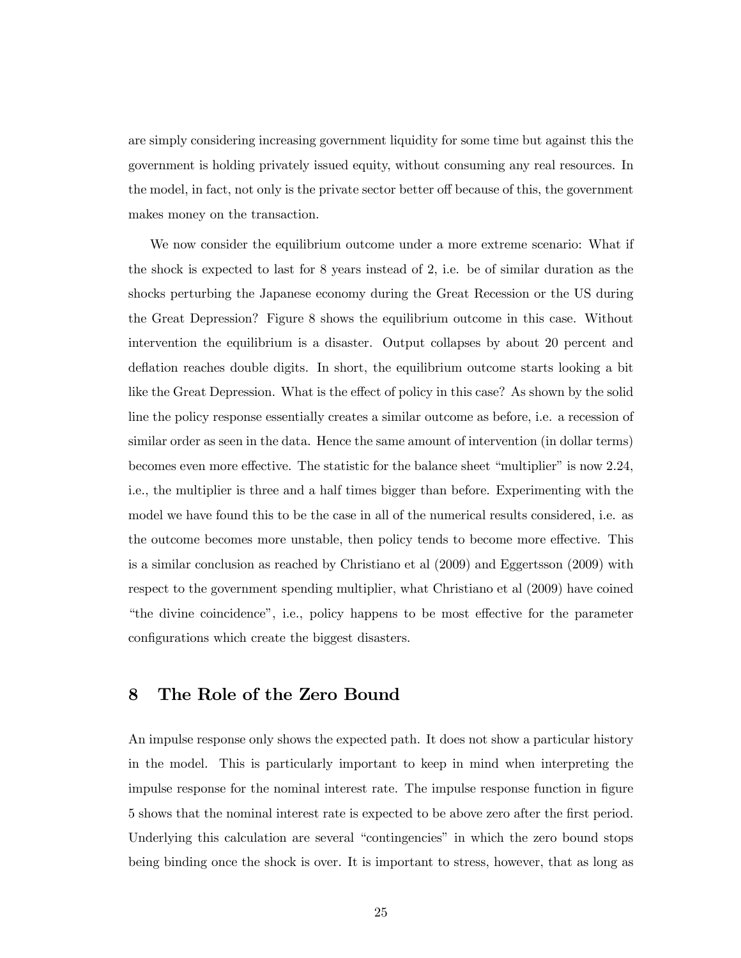are simply considering increasing government liquidity for some time but against this the government is holding privately issued equity, without consuming any real resources. In the model, in fact, not only is the private sector better off because of this, the government makes money on the transaction.

We now consider the equilibrium outcome under a more extreme scenario: What if the shock is expected to last for 8 years instead of 2, i.e. be of similar duration as the shocks perturbing the Japanese economy during the Great Recession or the US during the Great Depression? Figure 8 shows the equilibrium outcome in this case. Without intervention the equilibrium is a disaster. Output collapses by about 20 percent and deflation reaches double digits. In short, the equilibrium outcome starts looking a bit like the Great Depression. What is the effect of policy in this case? As shown by the solid line the policy response essentially creates a similar outcome as before, i.e. a recession of similar order as seen in the data. Hence the same amount of intervention (in dollar terms) becomes even more effective. The statistic for the balance sheet "multiplier" is now 2.24, i.e., the multiplier is three and a half times bigger than before. Experimenting with the model we have found this to be the case in all of the numerical results considered, i.e. as the outcome becomes more unstable, then policy tends to become more effective. This is a similar conclusion as reached by Christiano et al (2009) and Eggertsson (2009) with respect to the government spending multiplier, what Christiano et al (2009) have coined "the divine coincidence", i.e., policy happens to be most effective for the parameter configurations which create the biggest disasters.

## 8 The Role of the Zero Bound

An impulse response only shows the expected path. It does not show a particular history in the model. This is particularly important to keep in mind when interpreting the impulse response for the nominal interest rate. The impulse response function in figure 5 shows that the nominal interest rate is expected to be above zero after the first period. Underlying this calculation are several "contingencies" in which the zero bound stops being binding once the shock is over. It is important to stress, however, that as long as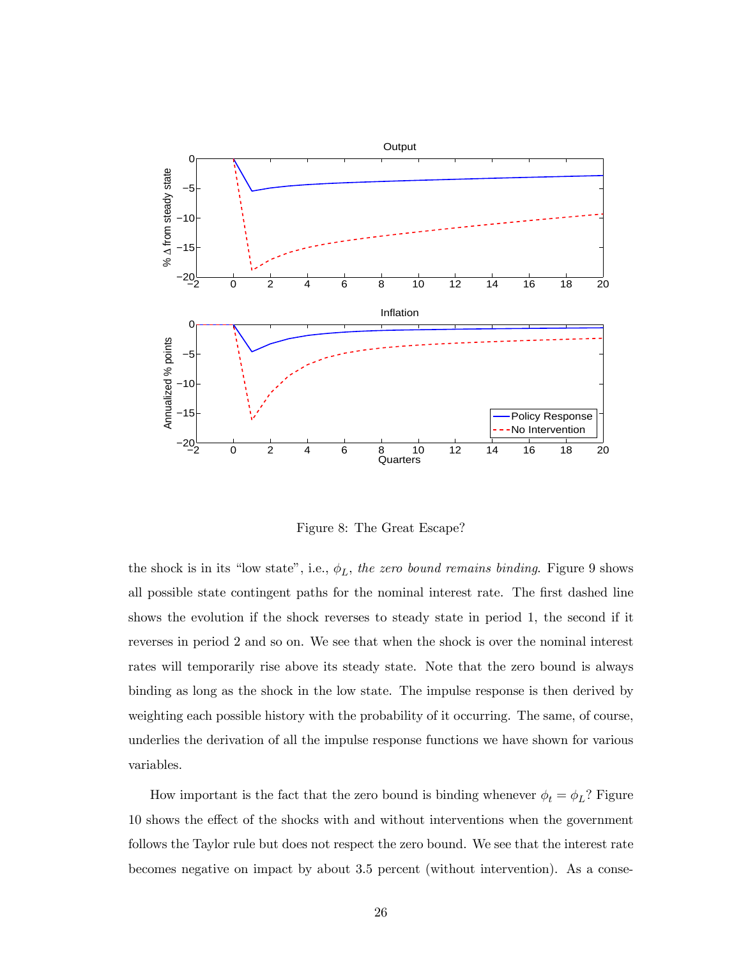

Figure 8: The Great Escape?

the shock is in its "low state", i.e.,  $\phi_L$ , the zero bound remains binding. Figure 9 shows all possible state contingent paths for the nominal interest rate. The first dashed line shows the evolution if the shock reverses to steady state in period 1, the second if it reverses in period 2 and so on. We see that when the shock is over the nominal interest rates will temporarily rise above its steady state. Note that the zero bound is always binding as long as the shock in the low state. The impulse response is then derived by weighting each possible history with the probability of it occurring. The same, of course, underlies the derivation of all the impulse response functions we have shown for various variables.

How important is the fact that the zero bound is binding whenever  $\phi_t = \phi_L$ ? Figure 10 shows the effect of the shocks with and without interventions when the government follows the Taylor rule but does not respect the zero bound. We see that the interest rate becomes negative on impact by about 3.5 percent (without intervention). As a conse-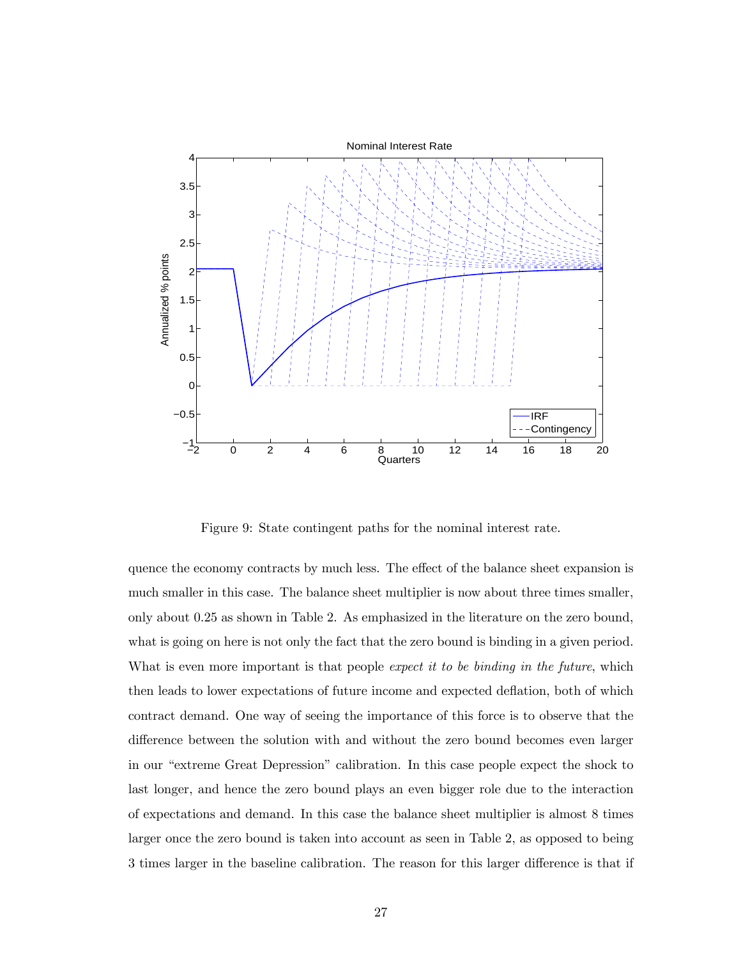

Figure 9: State contingent paths for the nominal interest rate.

quence the economy contracts by much less. The effect of the balance sheet expansion is much smaller in this case. The balance sheet multiplier is now about three times smaller, only about 0.25 as shown in Table 2. As emphasized in the literature on the zero bound, what is going on here is not only the fact that the zero bound is binding in a given period. What is even more important is that people expect it to be binding in the future, which then leads to lower expectations of future income and expected deflation, both of which contract demand. One way of seeing the importance of this force is to observe that the difference between the solution with and without the zero bound becomes even larger in our "extreme Great Depression" calibration. In this case people expect the shock to last longer, and hence the zero bound plays an even bigger role due to the interaction of expectations and demand. In this case the balance sheet multiplier is almost 8 times larger once the zero bound is taken into account as seen in Table 2, as opposed to being 3 times larger in the baseline calibration. The reason for this larger difference is that if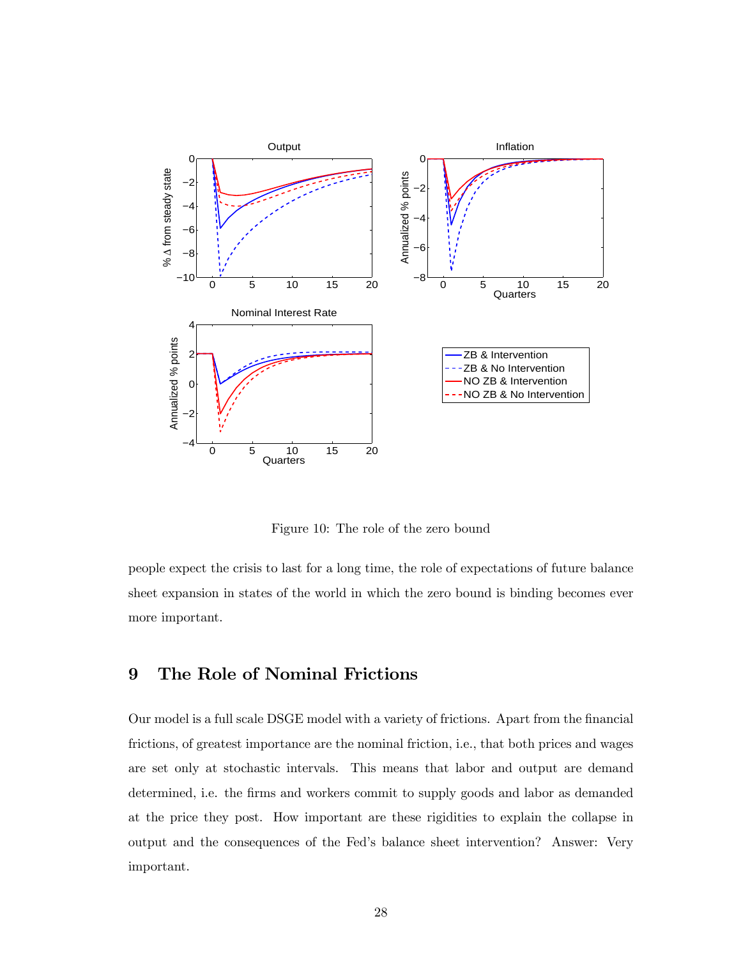

Figure 10: The role of the zero bound

people expect the crisis to last for a long time, the role of expectations of future balance sheet expansion in states of the world in which the zero bound is binding becomes ever more important.

## 9 The Role of Nominal Frictions

Our model is a full scale DSGE model with a variety of frictions. Apart from the financial frictions, of greatest importance are the nominal friction, i.e., that both prices and wages are set only at stochastic intervals. This means that labor and output are demand determined, i.e. the firms and workers commit to supply goods and labor as demanded at the price they post. How important are these rigidities to explain the collapse in output and the consequences of the Fed's balance sheet intervention? Answer: Very important.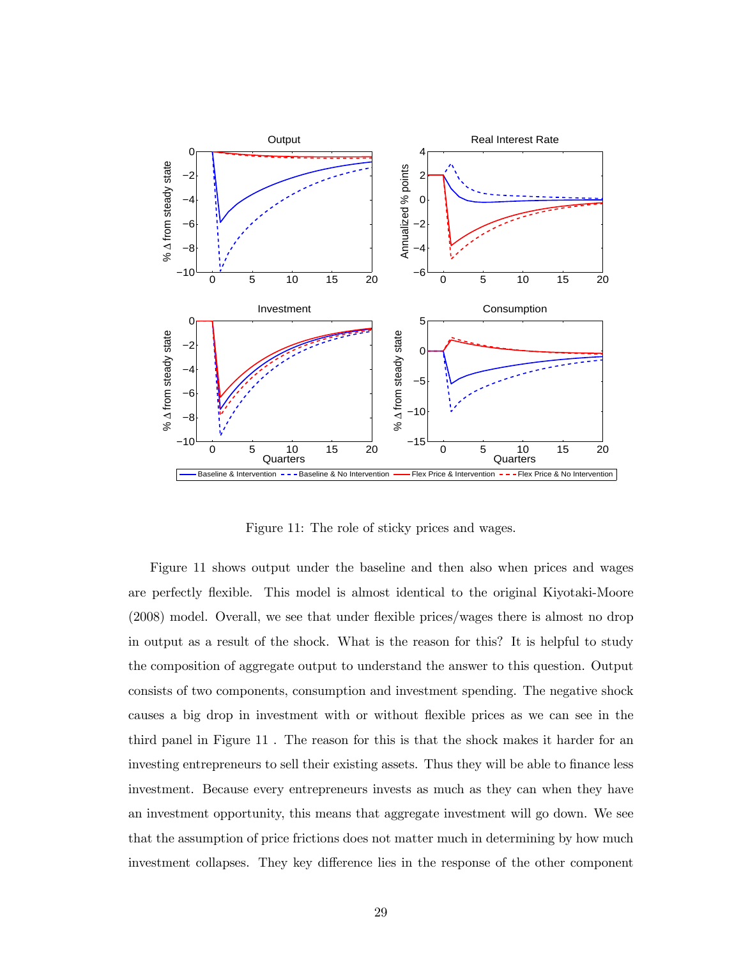

Figure 11: The role of sticky prices and wages.

Figure 11 shows output under the baseline and then also when prices and wages are perfectly flexible. This model is almost identical to the original Kiyotaki-Moore (2008) model. Overall, we see that under flexible prices/wages there is almost no drop in output as a result of the shock. What is the reason for this? It is helpful to study the composition of aggregate output to understand the answer to this question. Output consists of two components, consumption and investment spending. The negative shock causes a big drop in investment with or without flexible prices as we can see in the third panel in Figure 11 . The reason for this is that the shock makes it harder for an investing entrepreneurs to sell their existing assets. Thus they will be able to finance less investment. Because every entrepreneurs invests as much as they can when they have an investment opportunity, this means that aggregate investment will go down. We see that the assumption of price frictions does not matter much in determining by how much investment collapses. They key difference lies in the response of the other component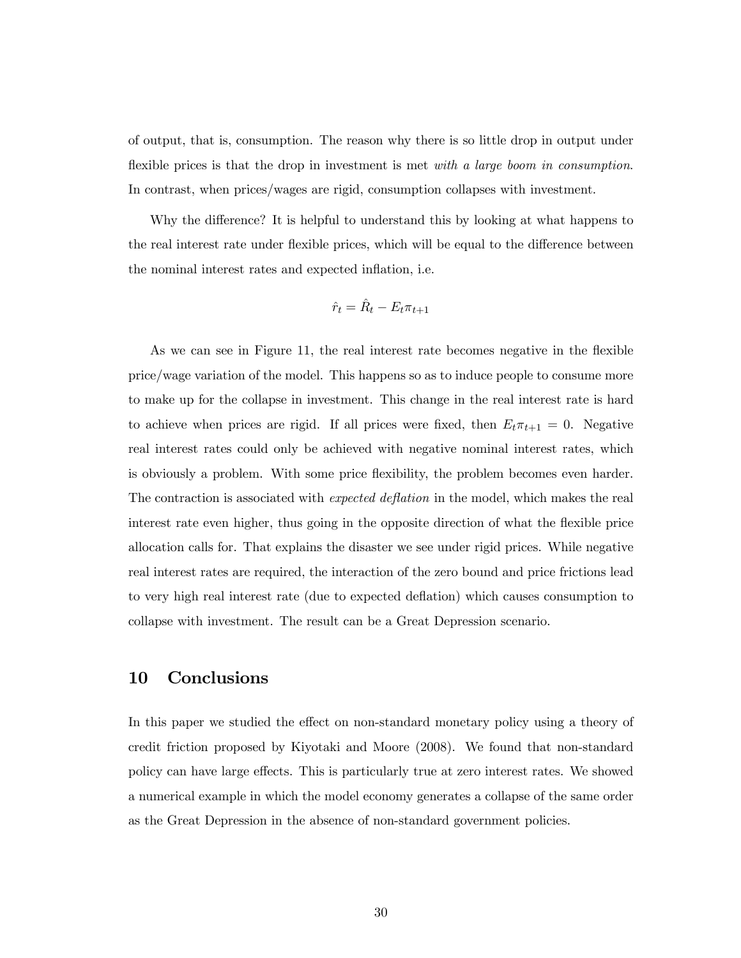of output, that is, consumption. The reason why there is so little drop in output under flexible prices is that the drop in investment is met with a large boom in consumption. In contrast, when prices/wages are rigid, consumption collapses with investment.

Why the difference? It is helpful to understand this by looking at what happens to the real interest rate under flexible prices, which will be equal to the difference between the nominal interest rates and expected inflation, i.e.

$$
\hat{r}_t = \hat{R}_t - E_t \pi_{t+1}
$$

As we can see in Figure 11, the real interest rate becomes negative in the flexible price/wage variation of the model. This happens so as to induce people to consume more to make up for the collapse in investment. This change in the real interest rate is hard to achieve when prices are rigid. If all prices were fixed, then  $E_t \pi_{t+1} = 0$ . Negative real interest rates could only be achieved with negative nominal interest rates, which is obviously a problem. With some price flexibility, the problem becomes even harder. The contraction is associated with expected deflation in the model, which makes the real interest rate even higher, thus going in the opposite direction of what the flexible price allocation calls for. That explains the disaster we see under rigid prices. While negative real interest rates are required, the interaction of the zero bound and price frictions lead to very high real interest rate (due to expected deflation) which causes consumption to collapse with investment. The result can be a Great Depression scenario.

### 10 Conclusions

In this paper we studied the effect on non-standard monetary policy using a theory of credit friction proposed by Kiyotaki and Moore (2008). We found that non-standard policy can have large effects. This is particularly true at zero interest rates. We showed a numerical example in which the model economy generates a collapse of the same order as the Great Depression in the absence of non-standard government policies.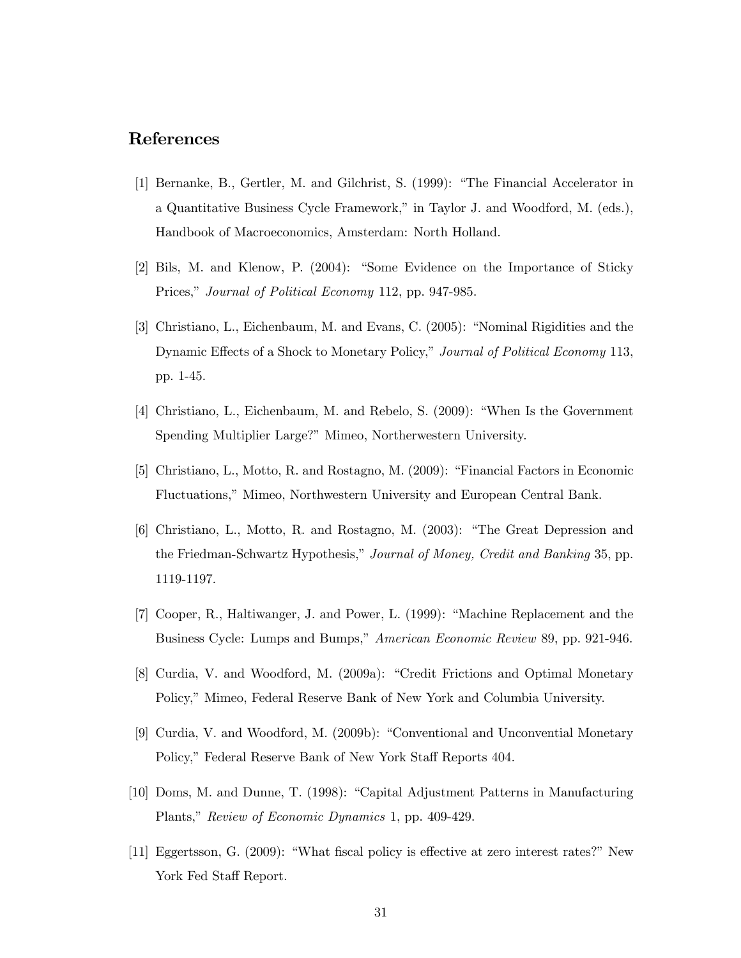## References

- [1] Bernanke, B., Gertler, M. and Gilchrist, S. (1999): "The Financial Accelerator in a Quantitative Business Cycle Framework," in Taylor J. and Woodford, M. (eds.), Handbook of Macroeconomics, Amsterdam: North Holland.
- [2] Bils, M. and Klenow, P. (2004): "Some Evidence on the Importance of Sticky Prices," Journal of Political Economy 112, pp. 947-985.
- [3] Christiano, L., Eichenbaum, M. and Evans, C. (2005): "Nominal Rigidities and the Dynamic Effects of a Shock to Monetary Policy," Journal of Political Economy 113, pp. 1-45.
- [4] Christiano, L., Eichenbaum, M. and Rebelo, S. (2009): "When Is the Government Spending Multiplier Large?" Mimeo, Northerwestern University.
- [5] Christiano, L., Motto, R. and Rostagno, M. (2009): "Financial Factors in Economic Fluctuations," Mimeo, Northwestern University and European Central Bank.
- [6] Christiano, L., Motto, R. and Rostagno, M. (2003): "The Great Depression and the Friedman-Schwartz Hypothesis," Journal of Money, Credit and Banking 35, pp. 1119-1197.
- [7] Cooper, R., Haltiwanger, J. and Power, L. (1999): "Machine Replacement and the Business Cycle: Lumps and Bumps," American Economic Review 89, pp. 921-946.
- [8] Curdia, V. and Woodford, M. (2009a): "Credit Frictions and Optimal Monetary Policy," Mimeo, Federal Reserve Bank of New York and Columbia University.
- [9] Curdia, V. and Woodford, M. (2009b): "Conventional and Unconvential Monetary Policy," Federal Reserve Bank of New York Staff Reports 404.
- [10] Doms, M. and Dunne, T. (1998): "Capital Adjustment Patterns in Manufacturing Plants," Review of Economic Dynamics 1, pp. 409-429.
- [11] Eggertsson, G. (2009): "What fiscal policy is effective at zero interest rates?" New York Fed Staff Report.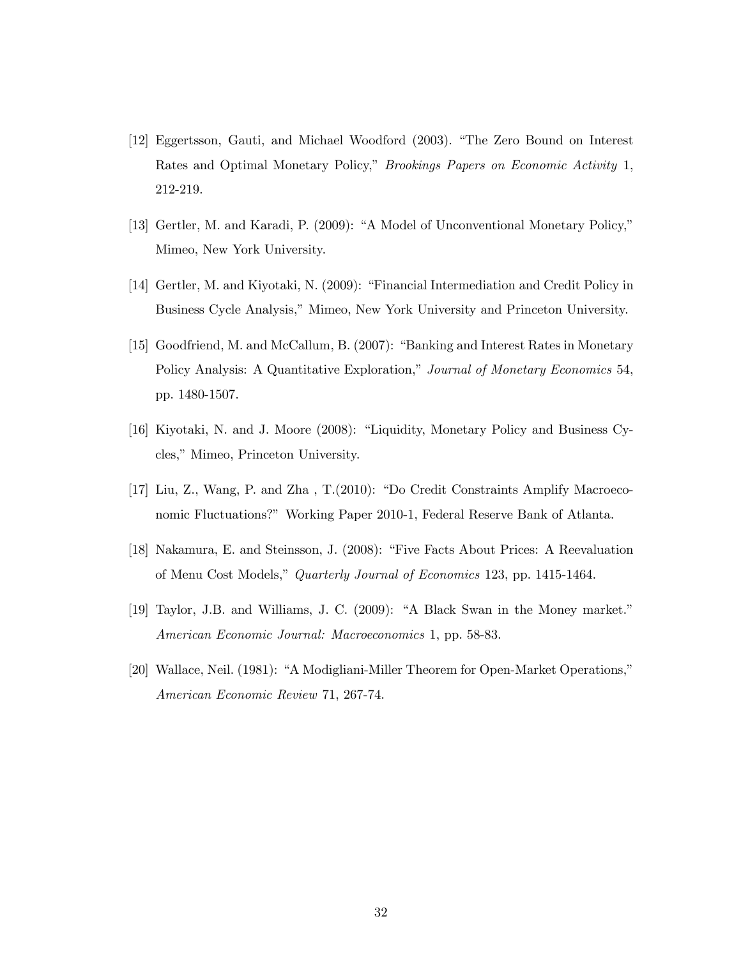- [12] Eggertsson, Gauti, and Michael Woodford (2003). "The Zero Bound on Interest Rates and Optimal Monetary Policy," Brookings Papers on Economic Activity 1, 212-219.
- [13] Gertler, M. and Karadi, P. (2009): "A Model of Unconventional Monetary Policy," Mimeo, New York University.
- [14] Gertler, M. and Kiyotaki, N. (2009): "Financial Intermediation and Credit Policy in Business Cycle Analysis," Mimeo, New York University and Princeton University.
- [15] Goodfriend, M. and McCallum, B. (2007): "Banking and Interest Rates in Monetary Policy Analysis: A Quantitative Exploration," Journal of Monetary Economics 54, pp. 1480-1507.
- [16] Kiyotaki, N. and J. Moore (2008): "Liquidity, Monetary Policy and Business Cycles," Mimeo, Princeton University.
- [17] Liu, Z., Wang, P. and Zha , T.(2010): "Do Credit Constraints Amplify Macroeconomic Fluctuations?" Working Paper 2010-1, Federal Reserve Bank of Atlanta.
- [18] Nakamura, E. and Steinsson, J. (2008): "Five Facts About Prices: A Reevaluation of Menu Cost Models," Quarterly Journal of Economics 123, pp. 1415-1464.
- [19] Taylor, J.B. and Williams, J. C. (2009): "A Black Swan in the Money market." American Economic Journal: Macroeconomics 1, pp. 58-83.
- [20] Wallace, Neil. (1981): "A Modigliani-Miller Theorem for Open-Market Operations," American Economic Review 71, 267-74.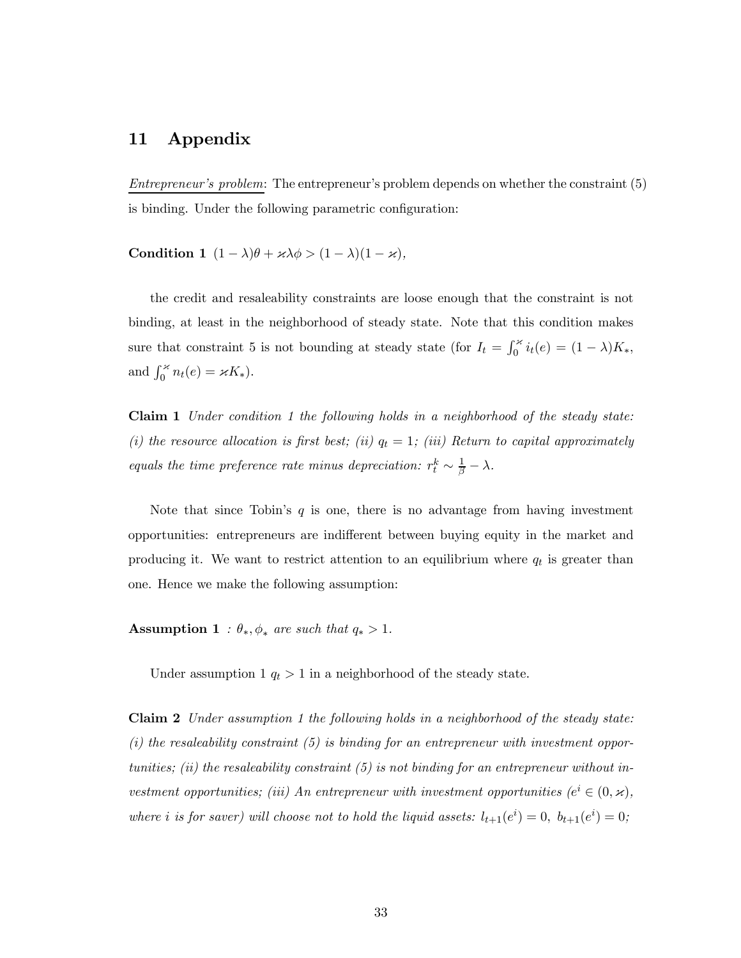## 11 Appendix

Entrepreneur's problem: The entrepreneur's problem depends on whether the constraint (5) is binding. Under the following parametric configuration:

Condition 1  $(1 - \lambda)\theta + \varkappa \lambda \phi > (1 - \lambda)(1 - \varkappa),$ 

the credit and resaleability constraints are loose enough that the constraint is not binding, at least in the neighborhood of steady state. Note that this condition makes sure that constraint 5 is not bounding at steady state (for  $I_t = \int_0^{\infty} i_t(e) = (1 - \lambda)K_*$ , and  $\int_0^{\infty} n_t(e) = \varkappa K_*$ ).

Claim 1 Under condition 1 the following holds in a neighborhood of the steady state: (i) the resource allocation is first best; (ii)  $q_t = 1$ ; (iii) Return to capital approximately equals the time preference rate minus depreciation:  $r_t^k \sim \frac{1}{\beta} - \lambda$ .

Note that since Tobin's  $q$  is one, there is no advantage from having investment opportunities: entrepreneurs are indifferent between buying equity in the market and producing it. We want to restrict attention to an equilibrium where  $q_t$  is greater than one. Hence we make the following assumption:

Assumption 1 :  $\theta_*$ ,  $\phi_*$  are such that  $q_* > 1$ .

Under assumption 1  $q_t > 1$  in a neighborhood of the steady state.

Claim 2 Under assumption 1 the following holds in a neighborhood of the steady state:  $(i)$  the resaleability constraint  $(5)$  is binding for an entrepreneur with investment opportunities; (ii) the resaleability constraint  $(5)$  is not binding for an entrepreneur without investment opportunities; (iii) An entrepreneur with investment opportunities ( $e^i \in (0, \varkappa)$ , where *i* is for saver) will choose not to hold the liquid assets:  $l_{t+1}(e^i) = 0$ ,  $b_{t+1}(e^i) = 0$ ;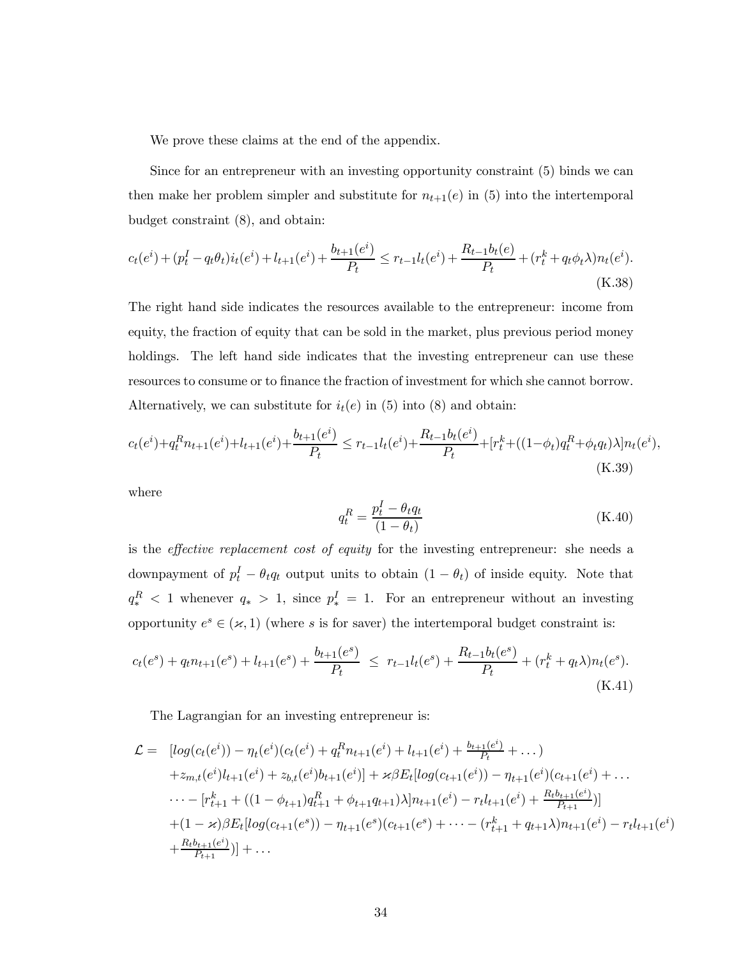We prove these claims at the end of the appendix.

Since for an entrepreneur with an investing opportunity constraint (5) binds we can then make her problem simpler and substitute for  $n_{t+1}(e)$  in (5) into the intertemporal budget constraint (8), and obtain:

$$
c_t(e^i) + (p_t^I - q_t\theta_t)i_t(e^i) + l_{t+1}(e^i) + \frac{b_{t+1}(e^i)}{P_t} \le r_{t-1}l_t(e^i) + \frac{R_{t-1}b_t(e)}{P_t} + (r_t^k + q_t\phi_t\lambda)n_t(e^i).
$$
(K.38)

The right hand side indicates the resources available to the entrepreneur: income from equity, the fraction of equity that can be sold in the market, plus previous period money holdings. The left hand side indicates that the investing entrepreneur can use these resources to consume or to finance the fraction of investment for which she cannot borrow. Alternatively, we can substitute for  $i_t(e)$  in (5) into (8) and obtain:

$$
c_t(e^i) + q_t^R n_{t+1}(e^i) + l_{t+1}(e^i) + \frac{b_{t+1}(e^i)}{P_t} \le r_{t-1}l_t(e^i) + \frac{R_{t-1}b_t(e^i)}{P_t} + [r_t^k + ((1 - \phi_t)q_t^R + \phi_t q_t)\lambda]n_t(e^i),
$$
(K.39)

where

$$
q_t^R = \frac{p_t^I - \theta_t q_t}{(1 - \theta_t)}\tag{K.40}
$$

is the effective replacement cost of equity for the investing entrepreneur: she needs a downpayment of  $p_t^I - \theta_t q_t$  output units to obtain  $(1 - \theta_t)$  of inside equity. Note that  $q_*^R$  < 1 whenever  $q_*$  > 1, since  $p_*^I = 1$ . For an entrepreneur without an investing opportunity  $e^s \in (\varkappa, 1)$  (where s is for saver) the intertemporal budget constraint is:

$$
c_t(e^s) + q_t n_{t+1}(e^s) + l_{t+1}(e^s) + \frac{b_{t+1}(e^s)}{P_t} \leq r_{t-1} l_t(e^s) + \frac{R_{t-1} b_t(e^s)}{P_t} + (r_t^k + q_t \lambda) n_t(e^s).
$$
\n(K.41)

The Lagrangian for an investing entrepreneur is:

$$
\mathcal{L} = [log(c_t(e^i)) - \eta_t(e^i)(c_t(e^i) + q_t^R n_{t+1}(e^i) + l_{t+1}(e^i) + \frac{b_{t+1}(e^i)}{P_t} + \dots) \n+ z_{m,t}(e^i)l_{t+1}(e^i) + z_{b,t}(e^i)b_{t+1}(e^i)] + \varkappa\beta E_t[log(c_{t+1}(e^i)) - \eta_{t+1}(e^i)(c_{t+1}(e^i) + \dots \n\cdots - [r_{t+1}^k + ((1 - \phi_{t+1})q_{t+1}^R + \phi_{t+1}q_{t+1})\lambda]n_{t+1}(e^i) - r_tl_{t+1}(e^i) + \frac{R_tb_{t+1}(e^i)}{P_{t+1}})] \n+ (1 - \varkappa)\beta E_t[log(c_{t+1}(e^s)) - \eta_{t+1}(e^s)(c_{t+1}(e^s) + \dots - (r_{t+1}^k + q_{t+1}\lambda)n_{t+1}(e^i) - r_tl_{t+1}(e^i) \n+ \frac{R_tb_{t+1}(e^i)}{P_{t+1}})] + \dots
$$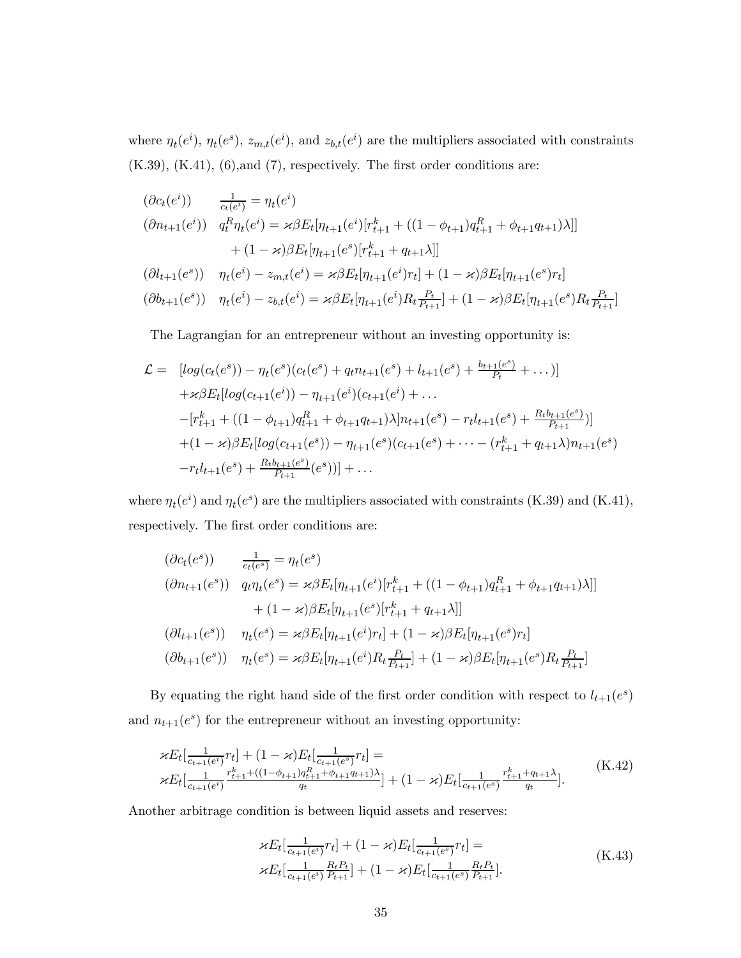where  $\eta_t(e^i)$ ,  $\eta_t(e^s)$ ,  $z_{m,t}(e^i)$ , and  $z_{b,t}(e^i)$  are the multipliers associated with constraints  $(K.39)$ ,  $(K.41)$ ,  $(6)$ , and  $(7)$ , respectively. The first order conditions are:

$$
(\partial c_t(e^i)) \frac{1}{c_t(e^i)} = \eta_t(e^i)
$$
  
\n
$$
(\partial n_{t+1}(e^i)) \frac{1}{q_t^R \eta_t(e^i)} = \varkappa \beta E_t[\eta_{t+1}(e^i)[r_{t+1}^k + ((1 - \phi_{t+1})q_{t+1}^R + \phi_{t+1}q_{t+1})\lambda]]
$$
  
\n
$$
+ (1 - \varkappa)\beta E_t[\eta_{t+1}(e^s)[r_{t+1}^k + q_{t+1}\lambda]]
$$
  
\n
$$
(\partial l_{t+1}(e^s)) \eta_t(e^i) - z_{m,t}(e^i) = \varkappa \beta E_t[\eta_{t+1}(e^i)r_t] + (1 - \varkappa)\beta E_t[\eta_{t+1}(e^s)r_t]
$$

$$
(\partial b_{t+1}(e^s)) \quad \eta_t(e^i) - z_{b,t}(e^i) = \varkappa \beta E_t[\eta_{t+1}(e^i) R_t \frac{P_t}{P_{t+1}}] + (1 - \varkappa) \beta E_t[\eta_{t+1}(e^s) R_t \frac{P_t}{P_{t+1}}]
$$

The Lagrangian for an entrepreneur without an investing opportunity is:

$$
\mathcal{L} = [log(c_t(e^s)) - \eta_t(e^s)(c_t(e^s) + q_t n_{t+1}(e^s) + l_{t+1}(e^s) + \frac{b_{t+1}(e^s)}{P_t} + \dots)]
$$
  
+  $\mathcal{\kappa} \beta E_t [log(c_{t+1}(e^i)) - \eta_{t+1}(e^i)(c_{t+1}(e^i) + \dots$   
-  $[r_{t+1}^k + ((1 - \phi_{t+1})q_{t+1}^R + \phi_{t+1}q_{t+1})\lambda]n_{t+1}(e^s) - r_t l_{t+1}(e^s) + \frac{R_t b_{t+1}(e^s)}{P_{t+1}})]$   
+  $(1 - \mathcal{\kappa}) \beta E_t [log(c_{t+1}(e^s)) - \eta_{t+1}(e^s)(c_{t+1}(e^s) + \dots - (r_{t+1}^k + q_{t+1}\lambda)n_{t+1}(e^s))$   
-  $r_t l_{t+1}(e^s) + \frac{R_t b_{t+1}(e^s)}{P_{t+1}}(e^s))] + \dots$ 

where  $\eta_t(e^i)$  and  $\eta_t(e^s)$  are the multipliers associated with constraints (K.39) and (K.41), respectively. The first order conditions are:

$$
(\partial c_t(e^s)) \frac{1}{c_t(e^s)} = \eta_t(e^s)
$$
  
\n
$$
(\partial n_{t+1}(e^s)) \quad q_t \eta_t(e^s) = \varkappa \beta E_t[\eta_{t+1}(e^i)[r_{t+1}^k + ((1 - \phi_{t+1})q_{t+1}^R + \phi_{t+1}q_{t+1})\lambda]]
$$
  
\n
$$
+ (1 - \varkappa)\beta E_t[\eta_{t+1}(e^s)[r_{t+1}^k + q_{t+1}\lambda]]
$$
  
\n
$$
(\partial l_{t+1}(e^s)) \quad \eta_t(e^s) = \varkappa \beta E_t[\eta_{t+1}(e^i)r_t] + (1 - \varkappa)\beta E_t[\eta_{t+1}(e^s)r_t]
$$
  
\n
$$
(\partial b_{t+1}(e^s)) \quad \eta_t(e^s) = \varkappa \beta E_t[\eta_{t+1}(e^i)R_t \frac{P_t}{P_{t+1}}] + (1 - \varkappa)\beta E_t[\eta_{t+1}(e^s)R_t \frac{P_t}{P_{t+1}}]
$$

By equating the right hand side of the first order condition with respect to  $l_{t+1}\big(e^s\big)$ and  $n_{t+1}(e^s)$  for the entrepreneur without an investing opportunity:

$$
\kappa E_t \left[ \frac{1}{c_{t+1}(e^i)} r_t \right] + (1 - \varkappa) E_t \left[ \frac{1}{c_{t+1}(e^s)} r_t \right] =
$$
\n
$$
\kappa E_t \left[ \frac{1}{c_{t+1}(e^i)} \frac{r_{t+1}^k + ((1 - \phi_{t+1})q_{t+1}^k + \phi_{t+1}q_{t+1})\lambda}{q_t} \right] + (1 - \varkappa) E_t \left[ \frac{1}{c_{t+1}(e^s)} \frac{r_{t+1}^k + q_{t+1}\lambda}{q_t} \right].
$$
\n(K.42)

Another arbitrage condition is between liquid assets and reserves:

$$
\mathcal{E}E_t\left[\frac{1}{c_{t+1}(e^i)}r_t\right] + (1 - \varkappa)E_t\left[\frac{1}{c_{t+1}(e^s)}r_t\right] =
$$
\n
$$
\mathcal{E}E_t\left[\frac{1}{c_{t+1}(e^i)}\frac{R_tP_t}{P_{t+1}}\right] + (1 - \varkappa)E_t\left[\frac{1}{c_{t+1}(e^s)}\frac{R_tP_t}{P_{t+1}}\right].
$$
\n(K.43)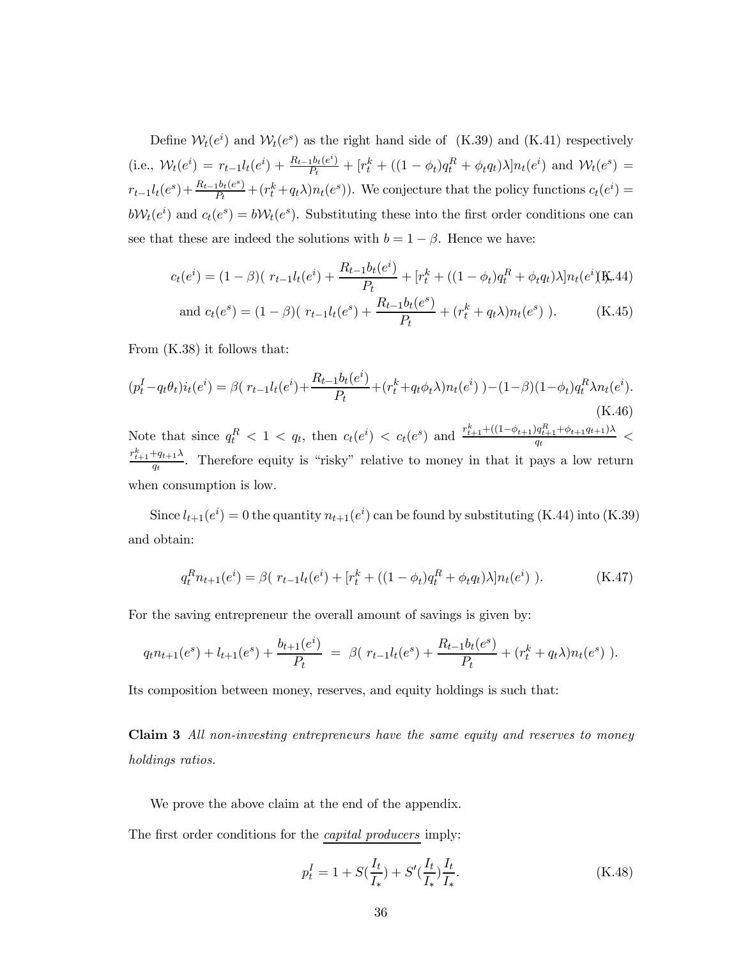Define  $W_t(e^i)$  and  $W_t(e^s)$  as the right hand side of (K.39) and (K.41) respectively (i.e.,  $\mathcal{W}_t(e^i) = r_{t-1}l_t(e^i) + \frac{R_{t-1}b_t(e^i)}{P_t} + [r_t^k + ((1 - \phi_t)q_t^R + \phi_t q_t)\lambda]n_t(e^i)$  and  $\mathcal{W}_t(e^s) =$  $r_{t-1}l_t(e^s) + \frac{R_{t-1}b_t(e^s)}{P_t} + (r_t^k + q_t\lambda)n_t(e^s)$ . We conjecture that the policy functions  $c_t(e^i) =$  $b\mathcal{W}_t(e^i)$  and  $c_t(e^s) = b\mathcal{W}_t(e^s)$ . Substituting these into the first order conditions one can see that these are indeed the solutions with  $b = 1 - \beta$ . Hence we have:

$$
c_t(e^i) = (1 - \beta)(r_{t-1}l_t(e^i) + \frac{R_{t-1}b_t(e^i)}{P_t} + [r_t^k + ((1 - \phi_t)q_t^R + \phi_t q_t)\lambda]n_t(e^i)\text{K.44})
$$

and 
$$
c_t(e^s) = (1 - \beta)(r_{t-1}l_t(e^s) + \frac{R_{t-1}b_t(e^s)}{P_t} + (r_t^k + q_t\lambda)n_t(e^s)
$$
). (K.45)

From (K.38) it follows that:

$$
(p_t^I - q_t \theta_t) i_t(e^i) = \beta (r_{t-1} l_t(e^i) + \frac{R_{t-1} b_t(e^i)}{P_t} + (r_t^k + q_t \phi_t \lambda) n_t(e^i)) - (1 - \beta)(1 - \phi_t) q_t^R \lambda n_t(e^i).
$$
  
(K.46)  
Note that since  $q_t^R < 1 < q_t$ , then  $c_t(e^i) < c_t(e^s)$  and  $\frac{r_{t+1}^k + (1 - \phi_{t+1}) q_{t+1}^R + \phi_{t+1} q_{t+1}) \lambda}{q_t} <$ 

 $\frac{r_{t+1}^k+q_{t+1}\lambda}{q_t}$ . Therefore equity is "risky" relative to money in that it pays a low return when consumption is low.

Since  $l_{t+1}(e^i) = 0$  the quantity  $n_{t+1}(e^i)$  can be found by substituting (K.44) into (K.39) and obtain:

$$
q_t^R n_{t+1}(e^i) = \beta (r_{t-1} l_t(e^i) + [r_t^k + ((1 - \phi_t) q_t^R + \phi_t q_t) \lambda] n_t(e^i) ). \tag{K.47}
$$

For the saving entrepreneur the overall amount of savings is given by:

$$
q_t n_{t+1}(e^s) + l_{t+1}(e^s) + \frac{b_{t+1}(e^i)}{P_t} = \beta (r_{t-1} l_t(e^s) + \frac{R_{t-1} b_t(e^s)}{P_t} + (r_t^k + q_t \lambda) n_t(e^s) ).
$$

Its composition between money, reserves, and equity holdings is such that:

## Claim 3 All non-investing entrepreneurs have the same equity and reserves to money holdings ratios.

We prove the above claim at the end of the appendix.

The first order conditions for the *capital producers* imply:

$$
p_t^I = 1 + S(\frac{I_t}{I_*}) + S'(\frac{I_t}{I_*})\frac{I_t}{I_*}.
$$
\n(K.48)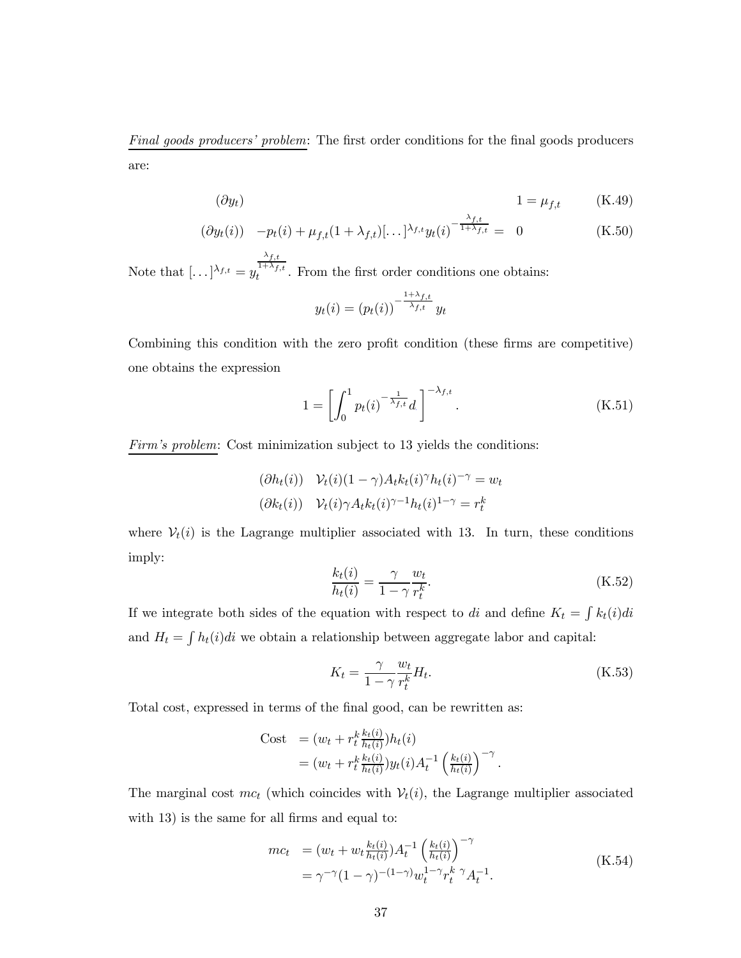Final goods producers' problem: The first order conditions for the final goods producers are:

$$
( \partial y_t ) \t\t 1 = \mu_{f,t} \t\t (K.49)
$$

$$
(\partial y_t(i)) - p_t(i) + \mu_{f,t}(1 + \lambda_{f,t})[\dots]^{\lambda_{f,t}} y_t(i)^{-\frac{\lambda_{f,t}}{1 + \lambda_{f,t}}} = 0
$$
 (K.50)

Note that  $[\dots]^{\lambda_{f,t}} = y$  $\lambda_{f,t}$  $t_t^{1+\lambda_{f,t}}$ . From the first order conditions one obtains:

$$
y_t(i) = (p_t(i))^{-\frac{1+\lambda_{f,t}}{\lambda_{f,t}}} y_t
$$

Combining this condition with the zero profit condition (these firms are competitive) one obtains the expression

$$
1 = \left[ \int_0^1 p_t(i)^{-\frac{1}{\lambda_{f,t}}} d \right]^{-\lambda_{f,t}}.
$$
 (K.51)

Firm's problem: Cost minimization subject to 13 yields the conditions:

$$
(\partial h_t(i)) \quad \mathcal{V}_t(i)(1-\gamma)A_t k_t(i)^{\gamma} h_t(i)^{-\gamma} = w_t
$$

$$
(\partial k_t(i)) \quad \mathcal{V}_t(i)\gamma A_t k_t(i)^{\gamma-1} h_t(i)^{1-\gamma} = r_t^k
$$

where  $V_t(i)$  is the Lagrange multiplier associated with 13. In turn, these conditions imply:

$$
\frac{k_t(i)}{h_t(i)} = \frac{\gamma}{1 - \gamma} \frac{w_t}{r_t^k}.
$$
\n(K.52)

If we integrate both sides of the equation with respect to di and define  $K_t = \int k_t(i)di$ and  $H_t = \int h_t(i)di$  we obtain a relationship between aggregate labor and capital:

$$
K_t = \frac{\gamma}{1 - \gamma} \frac{w_t}{r_t^k} H_t.
$$
\n(K.53)

Total cost, expressed in terms of the final good, can be rewritten as:

Cost = 
$$
(w_t + r_t^k \frac{k_t(i)}{h_t(i)}) h_t(i)
$$
  
=  $(w_t + r_t^k \frac{k_t(i)}{h_t(i)}) y_t(i) A_t^{-1} \left(\frac{k_t(i)}{h_t(i)}\right)^{-\gamma}$ .

The marginal cost  $mc_t$  (which coincides with  $V_t(i)$ , the Lagrange multiplier associated with 13) is the same for all firms and equal to:

$$
mc_t = (w_t + w_t \frac{k_t(i)}{h_t(i)}) A_t^{-1} \left(\frac{k_t(i)}{h_t(i)}\right)^{-\gamma}
$$
  
=  $\gamma^{-\gamma} (1 - \gamma)^{-(1-\gamma)} w_t^{1-\gamma} r_t^k \gamma A_t^{-1}.$  (K.54)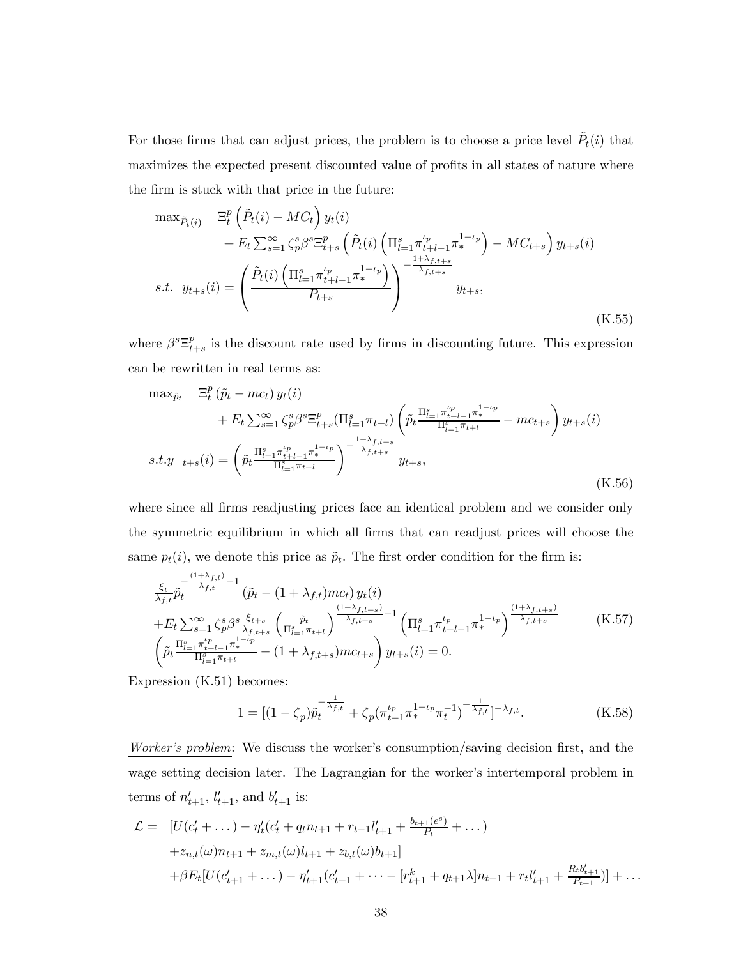For those firms that can adjust prices, the problem is to choose a price level  $\tilde{P}_t(i)$  that maximizes the expected present discounted value of profits in all states of nature where the firm is stuck with that price in the future:

$$
\max_{\tilde{P}_t(i)} \quad \Xi_t^p \left( \tilde{P}_t(i) - MC_t \right) y_t(i) \n+ E_t \sum_{s=1}^{\infty} \zeta_p^s \beta^s \Xi_{t+s}^p \left( \tilde{P}_t(i) \left( \Pi_{l=1}^s \pi_{t+l-1}^{t_p} \pi_*^{1-t_p} \right) - MC_{t+s} \right) y_{t+s}(i) \ns.t. \quad y_{t+s}(i) = \left( \frac{\tilde{P}_t(i) \left( \Pi_{l=1}^s \pi_{t+l-1}^{t_p} \pi_*^{1-t_p} \right)}{P_{t+s}} \right)^{-\frac{1+\lambda_{f,t+s}}{\lambda_{f,t+s}}} y_{t+s},
$$
\n(K.55)

where  $\beta^s \Xi_{t+s}^p$  is the discount rate used by firms in discounting future. This expression can be rewritten in real terms as:

$$
\max_{\tilde{p}_t} \quad \Xi_t^p(\tilde{p}_t - mc_t) y_t(i) \n+ E_t \sum_{s=1}^{\infty} \zeta_p^s \beta^s \Xi_{t+s}^p(\Pi_{l=1}^s \pi_{t+l}) \left( \tilde{p}_t \frac{\Pi_{l=1}^s \pi_{t+l-1}^{t_p} \pi_{t+l}^{1-\iota_p}}{\Pi_{l=1}^s \pi_{t+l}} - mc_{t+s} \right) y_{t+s}(i) \ns.t. y \quad t+s(i) = \left( \tilde{p}_t \frac{\Pi_{l=1}^s \pi_{t+l-1}^{t_p} \pi_{t+l}^{1-\iota_p}}{\Pi_{l=1}^s \pi_{t+l}} \right)^{-\frac{1+\lambda_{f,t+s}}{\lambda_{f,t+s}}} y_{t+s},
$$
\n(K.56)

where since all firms readjusting prices face an identical problem and we consider only the symmetric equilibrium in which all firms that can readjust prices will choose the same  $p_t(i)$ , we denote this price as  $\tilde{p}_t$ . The first order condition for the firm is:

$$
\frac{\xi_{t}}{\lambda_{f,t}} \tilde{p}_{t}^{-\frac{(1+\lambda_{f,t})}{\lambda_{f,t}}-1} (\tilde{p}_{t} - (1+\lambda_{f,t})mc_{t}) y_{t}(i) + E_{t} \sum_{s=1}^{\infty} \zeta_{p}^{s} \beta^{s} \frac{\xi_{t+s}}{\lambda_{f,t+s}} \left(\frac{\tilde{p}_{t}}{\Pi_{t=1}^{s} \pi_{t+1}}\right)^{\frac{(1+\lambda_{f,t+s})}{\lambda_{f,t+s}}-1} \left(\Pi_{t=1}^{s} \pi_{t+l-1}^{t_{p}} \pi_{t}^{1-t_{p}}\right)^{\frac{(1+\lambda_{f,t+s})}{\lambda_{f,t+s}}} (\text{K.57})
$$
\n
$$
\left(\tilde{p}_{t} \frac{\Pi_{t=1}^{s} \pi_{t+l-1}^{t_{p}} \pi_{t+l}^{-1}}{\Pi_{t=1}^{s} \pi_{t+l}} - (1+\lambda_{f,t+s})mc_{t+s}\right) y_{t+s}(i) = 0.
$$

Expression (K.51) becomes:

$$
1 = \left[ (1 - \zeta_p) \tilde{p}_t^{-\frac{1}{\lambda_{f,t}}} + \zeta_p (\pi_{t-1}^{\iota_p} \pi_*^{1-\iota_p} \pi_t^{-1})^{-\frac{1}{\lambda_{f,t}}} \right]^{-\lambda_{f,t}}.
$$
 (K.58)

Worker's problem: We discuss the worker's consumption/saving decision first, and the wage setting decision later. The Lagrangian for the worker's intertemporal problem in terms of  $n'_{t+1}$ ,  $l'_{t+1}$ , and  $b'_{t+1}$  is:

$$
\mathcal{L} = \left[ U(c'_{t} + \dots) - \eta'_{t}(c'_{t} + q_{t}n_{t+1} + r_{t-1}l'_{t+1} + \frac{b_{t+1}(e^{s})}{P_{t}} + \dots) + z_{n,t}(\omega)n_{t+1} + z_{m,t}(\omega)l_{t+1} + z_{b,t}(\omega)b_{t+1}\right] + \beta E_{t}[U(c'_{t+1} + \dots) - \eta'_{t+1}(c'_{t+1} + \dots - [r^{k}_{t+1} + q_{t+1}\lambda]n_{t+1} + r_{t}l'_{t+1} + \frac{R_{t}b'_{t+1}}{P_{t+1}})] + \dots
$$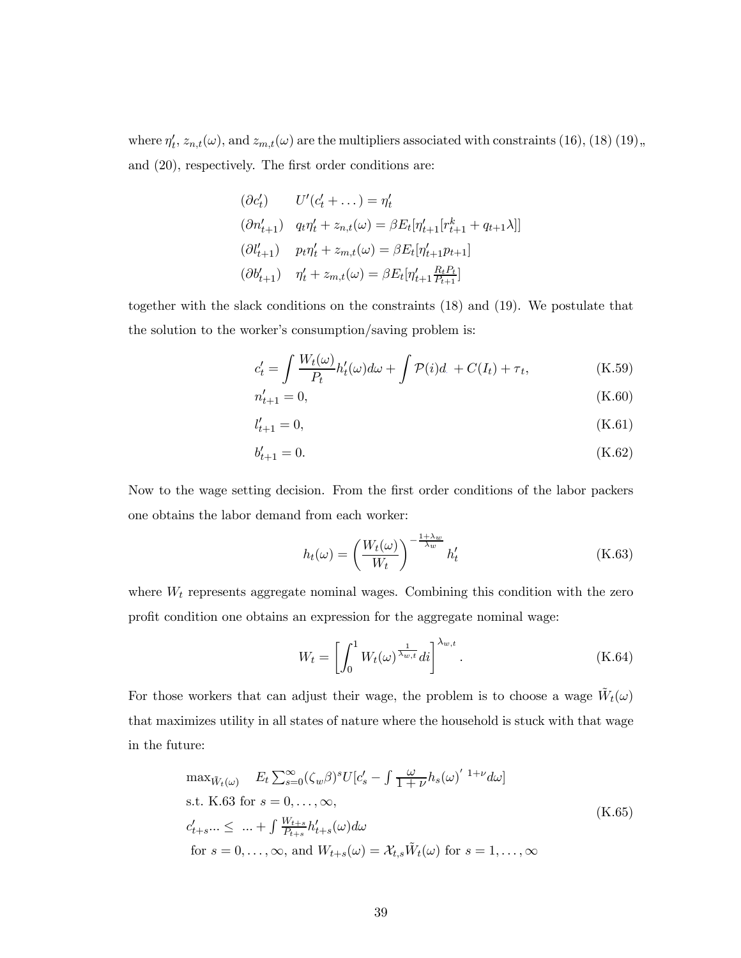where  $\eta'_t$ ,  $z_{n,t}(\omega)$ , and  $z_{m,t}(\omega)$  are the multipliers associated with constraints (16), (18) (19), and (20), respectively. The first order conditions are:

$$
(\partial c'_t) \qquad U'(c'_t + \dots) = \eta'_t
$$
  
\n
$$
(\partial n'_{t+1}) \quad q_t \eta'_t + z_{n,t}(\omega) = \beta E_t [\eta'_{t+1}[r^k_{t+1} + q_{t+1}\lambda]]
$$
  
\n
$$
(\partial l'_{t+1}) \qquad p_t \eta'_t + z_{m,t}(\omega) = \beta E_t [\eta'_{t+1} p_{t+1}]
$$
  
\n
$$
(\partial b'_{t+1}) \qquad \eta'_t + z_{m,t}(\omega) = \beta E_t [\eta'_{t+1} \frac{R_t P_t}{P_{t+1}}]
$$

together with the slack conditions on the constraints (18) and (19). We postulate that the solution to the worker's consumption/saving problem is:

$$
c'_{t} = \int \frac{W_{t}(\omega)}{P_{t}} h'_{t}(\omega) d\omega + \int \mathcal{P}(i) d + C(I_{t}) + \tau_{t}, \qquad (K.59)
$$

$$
n'_{t+1} = 0,\t\t(K.60)
$$

$$
l'_{t+1} = 0,\t\t(K.61)
$$

$$
b'_{t+1} = 0.\t\t(K.62)
$$

Now to the wage setting decision. From the first order conditions of the labor packers one obtains the labor demand from each worker:

$$
h_t(\omega) = \left(\frac{W_t(\omega)}{W_t}\right)^{-\frac{1+\lambda_w}{\lambda_w}} h'_t \tag{K.63}
$$

where  $W_t$  represents aggregate nominal wages. Combining this condition with the zero profit condition one obtains an expression for the aggregate nominal wage:

$$
W_t = \left[ \int_0^1 W_t(\omega)^{\frac{1}{\lambda_{w,t}}} dt \right]^{\lambda_{w,t}}.
$$
 (K.64)

For those workers that can adjust their wage, the problem is to choose a wage  $\tilde{W}_t(\omega)$ that maximizes utility in all states of nature where the household is stuck with that wage in the future:

$$
\max_{\tilde{W}_t(\omega)} E_t \sum_{s=0}^{\infty} (\zeta_w \beta)^s U[c'_s - \int \frac{\omega}{1+\nu} h_s(\omega)^{1+\nu} d\omega]
$$
  
s.t. K.63 for  $s = 0, ..., \infty$ ,  

$$
c'_{t+s}... \leq ... + \int \frac{W_{t+s}}{P_{t+s}} h'_{t+s}(\omega) d\omega
$$
  
for  $s = 0, ..., \infty$ , and  $W_{t+s}(\omega) = \mathcal{X}_{t,s} \tilde{W}_t(\omega)$  for  $s = 1, ..., \infty$  (K.65)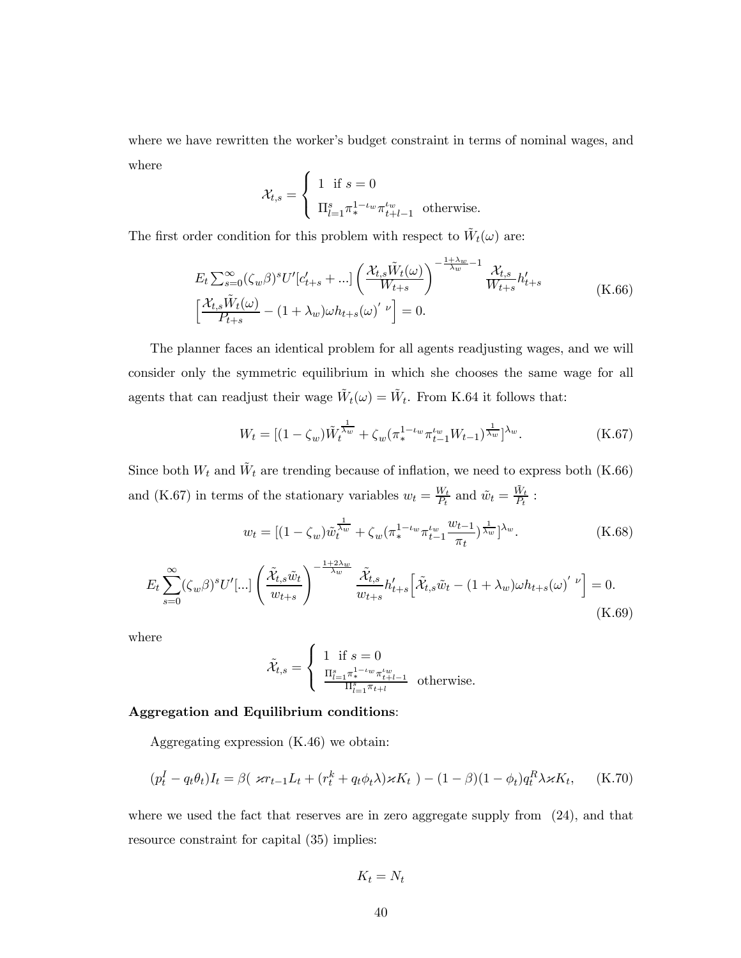where we have rewritten the worker's budget constraint in terms of nominal wages, and where

$$
\mathcal{X}_{t,s} = \begin{cases} 1 & \text{if } s = 0 \\ \Pi_{l=1}^s \pi^{1-\iota_w}_* \pi_{t+l-1}^{\iota_w} & \text{otherwise.} \end{cases}
$$

The first order condition for this problem with respect to  $\tilde{W}_t(\omega)$  are:

$$
E_t \sum_{s=0}^{\infty} (\zeta_w \beta)^s U' [c'_{t+s} + \dots] \left( \frac{\mathcal{X}_{t,s} \tilde{W}_t(\omega)}{W_{t+s}} \right)^{-\frac{1+\lambda_w}{\lambda_w} - 1} \frac{\mathcal{X}_{t,s}}{W_{t+s}} h'_{t+s}
$$
\n
$$
\left[ \frac{\mathcal{X}_{t,s} \tilde{W}_t(\omega)}{P_{t+s}} - (1 + \lambda_w) \omega h_{t+s} (\omega)' \right] = 0.
$$
\n(K.66)

The planner faces an identical problem for all agents readjusting wages, and we will consider only the symmetric equilibrium in which she chooses the same wage for all agents that can readjust their wage  $\tilde{W}_t(\omega) = \tilde{W}_t$ . From K.64 it follows that:

$$
W_t = \left[ (1 - \zeta_w) \tilde{W}_t^{\frac{1}{\lambda_w}} + \zeta_w (\pi_*^{1 - \iota_w} \pi_{t-1}^{\iota_w} W_{t-1})^{\frac{1}{\lambda_w}} \right]^{\lambda_w}.
$$
 (K.67)

Since both  $W_t$  and  $\tilde{W}_t$  are trending because of inflation, we need to express both (K.66) and (K.67) in terms of the stationary variables  $w_t = \frac{W_t}{P_t}$  and  $\tilde{w}_t = \frac{\tilde{W}_t}{P_t}$ :

$$
w_t = \left[ (1 - \zeta_w) \tilde{w}_t^{\frac{1}{\lambda_w}} + \zeta_w (\pi_*^{1 - \iota_w} \pi_{t-1}^{\iota_w} \frac{w_{t-1}}{\pi_t})^{\frac{1}{\lambda_w}} \right]^{\lambda_w}.
$$
 (K.68)

$$
E_t \sum_{s=0}^{\infty} (\zeta_w \beta)^s U'[\ldots] \left( \frac{\tilde{\mathcal{X}}_{t,s} \tilde{w}_t}{w_{t+s}} \right)^{-\frac{1+2\lambda_w}{\lambda_w}} \frac{\tilde{\mathcal{X}}_{t,s}}{w_{t+s}} h'_{t+s} \left[ \tilde{\mathcal{X}}_{t,s} \tilde{w}_t - (1+\lambda_w) \omega h_{t+s}(\omega)' \right] = 0.
$$
\n(K.69)

where

$$
\tilde{\mathcal{X}}_{t,s} = \begin{cases} 1 \text{ if } s = 0 \\ \frac{\Pi_{l=1}^s \pi^{1-\iota w}_* \pi^{ \iota w}_{t+l-1} }{\Pi_{l=1}^s \pi_{t+l}} \text{ otherwise.} \end{cases}
$$

#### Aggregation and Equilibrium conditions:

Aggregating expression (K.46) we obtain:

$$
(p_t^I - q_t \theta_t)I_t = \beta(\varkappa r_{t-1}L_t + (r_t^k + q_t \phi_t \lambda)\varkappa K_t) - (1 - \beta)(1 - \phi_t)q_t^R \lambda \varkappa K_t, \quad \text{(K.70)}
$$

where we used the fact that reserves are in zero aggregate supply from  $(24)$ , and that resource constraint for capital (35) implies:

$$
K_t=N_t
$$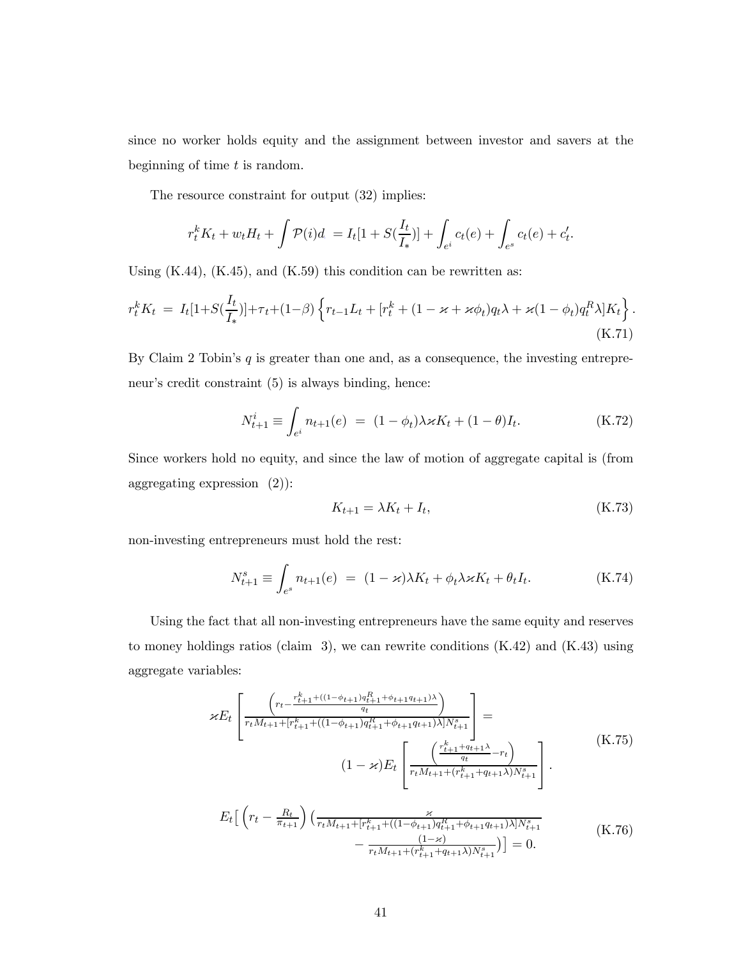since no worker holds equity and the assignment between investor and savers at the beginning of time  $t$  is random.

The resource constraint for output (32) implies:

$$
r_t^k K_t + w_t H_t + \int \mathcal{P}(i)d = I_t[1 + S(\frac{I_t}{I_*})] + \int_{e^i} c_t(e) + \int_{e^s} c_t(e) + c'_t.
$$

Using  $(K.44)$ ,  $(K.45)$ , and  $(K.59)$  this condition can be rewritten as:

$$
r_t^k K_t = I_t[1+S(\frac{I_t}{I_*})] + \tau_t + (1-\beta) \left\{ r_{t-1} L_t + [r_t^k + (1 - \varkappa + \varkappa \phi_t) q_t \lambda + \varkappa (1 - \phi_t) q_t^R \lambda] K_t \right\}.
$$
\n(K.71)

By Claim 2 Tobin's  $q$  is greater than one and, as a consequence, the investing entrepreneur's credit constraint (5) is always binding, hence:

$$
N_{t+1}^{i} \equiv \int_{e^{i}} n_{t+1}(e) = (1 - \phi_{t}) \lambda \varkappa K_{t} + (1 - \theta) I_{t}.
$$
 (K.72)

Since workers hold no equity, and since the law of motion of aggregate capital is (from aggregating expression (2)):

$$
K_{t+1} = \lambda K_t + I_t,\tag{K.73}
$$

non-investing entrepreneurs must hold the rest:

$$
N_{t+1}^s \equiv \int_{e^s} n_{t+1}(e) = (1 - \varkappa) \lambda K_t + \phi_t \lambda \varkappa K_t + \theta_t I_t.
$$
 (K.74)

Using the fact that all non-investing entrepreneurs have the same equity and reserves to money holdings ratios (claim 3), we can rewrite conditions  $(K.42)$  and  $(K.43)$  using aggregate variables:

$$
\mathcal{E}E_{t}\left[\frac{\left(r_{t}-\frac{r_{t+1}^{k} + ((1-\phi_{t+1})q_{t+1}^{R} + \phi_{t+1}q_{t+1})\lambda}{q_{t}}\right)}{\tau_{t}M_{t+1} + [r_{t+1}^{k} + ((1-\phi_{t+1})q_{t+1}^{R} + \phi_{t+1}q_{t+1})\lambda]N_{t+1}^{s}}\right] = \frac{\left(1-\varkappa\right)E_{t}\left[\frac{\left(\frac{r_{t+1}^{k} + q_{t+1}\lambda}{q_{t}} - r_{t}\right)}{\tau_{t}M_{t+1} + (r_{t+1}^{k} + q_{t+1}\lambda)N_{t+1}^{s}}\right]}.
$$
\n
$$
E_{t}\left[\left(r_{t}-\frac{R_{t}}{\pi_{t+1}}\right)\left(\frac{\varkappa}{r_{t}M_{t+1} + [r_{t+1}^{k} + ((1-\phi_{t+1})q_{t+1}^{R} + \phi_{t+1}q_{t+1})\lambda]N_{t+1}^{s}}{\tau_{t}M_{t+1} + (r_{t+1}^{k} + q_{t+1}\lambda)N_{t+1}^{s}}\right)\right] = 0.
$$
\n(K.76)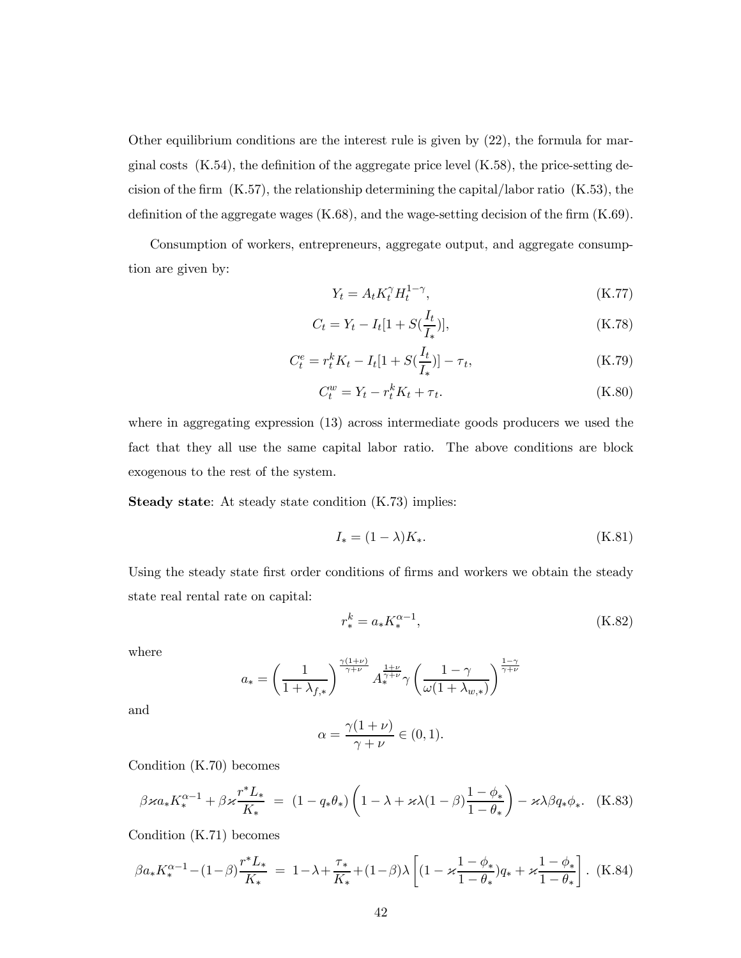Other equilibrium conditions are the interest rule is given by (22), the formula for marginal costs  $(K.54)$ , the definition of the aggregate price level  $(K.58)$ , the price-setting decision of the firm (K.57), the relationship determining the capital/labor ratio (K.53), the definition of the aggregate wages (K.68), and the wage-setting decision of the firm (K.69).

Consumption of workers, entrepreneurs, aggregate output, and aggregate consumption are given by:

$$
Y_t = A_t K_t^{\gamma} H_t^{1-\gamma},\tag{K.77}
$$

$$
C_t = Y_t - I_t[1 + S(\frac{I_t}{I_*})],
$$
\n(K.78)

$$
C_t^e = r_t^k K_t - I_t[1 + S(\frac{I_t}{I_*})] - \tau_t,
$$
\n(K.79)

$$
C_t^w = Y_t - r_t^k K_t + \tau_t. \tag{K.80}
$$

where in aggregating expression (13) across intermediate goods producers we used the fact that they all use the same capital labor ratio. The above conditions are block exogenous to the rest of the system.

Steady state: At steady state condition (K.73) implies:

$$
I_* = (1 - \lambda)K_*. \tag{K.81}
$$

Using the steady state first order conditions of firms and workers we obtain the steady state real rental rate on capital:

$$
r_*^k = a_* K_*^{\alpha - 1}, \tag{K.82}
$$

where

$$
a_*=\left(\frac{1}{1+\lambda_{f,*}}\right)^{\frac{\gamma(1+\nu)}{\gamma+\nu}}A_*^{\frac{1+\nu}{\gamma+\nu}}\gamma\left(\frac{1-\gamma}{\omega(1+\lambda_{w,*})}\right)^{\frac{1-\gamma}{\gamma+\nu}}
$$

and

$$
\alpha = \frac{\gamma(1+\nu)}{\gamma+\nu} \in (0,1).
$$

Condition (K.70) becomes

$$
\beta \varkappa a_* K_*^{\alpha - 1} + \beta \varkappa \frac{r^* L_*}{K_*} = (1 - q_* \theta_*) \left( 1 - \lambda + \varkappa \lambda (1 - \beta) \frac{1 - \phi_*}{1 - \theta_*} \right) - \varkappa \lambda \beta q_* \phi_*.
$$
 (K.83)

Condition (K.71) becomes

$$
\beta a_* K_*^{\alpha - 1} - (1 - \beta) \frac{r^* L_*}{K_*} = 1 - \lambda + \frac{\tau_*}{K_*} + (1 - \beta) \lambda \left[ (1 - \varkappa \frac{1 - \phi_*}{1 - \theta_*}) q_* + \varkappa \frac{1 - \phi_*}{1 - \theta_*} \right].
$$
 (K.84)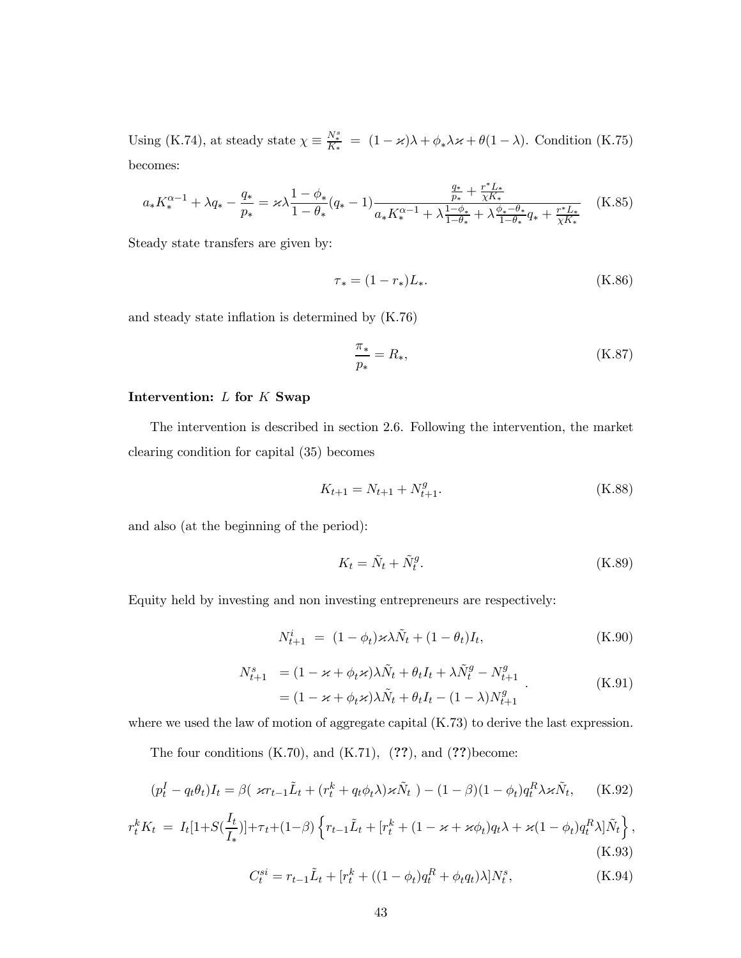Using (K.74), at steady state  $\chi \equiv \frac{N_*^s}{K_*} = (1 - \varkappa)\lambda + \phi_*\lambda\kappa + \theta(1 - \lambda)$ . Condition (K.75) becomes:

$$
a_{*}K_{*}^{\alpha-1} + \lambda q_{*} - \frac{q_{*}}{p_{*}} = \varkappa \lambda \frac{1 - \phi_{*}}{1 - \theta_{*}} (q_{*} - 1) \frac{\frac{q_{*}}{p_{*}} + \frac{r^{*}L_{*}}{\chi K_{*}}}{a_{*}K_{*}^{\alpha-1} + \lambda \frac{1 - \phi_{*}}{1 - \theta_{*}} + \lambda \frac{\phi_{*} - \theta_{*}}{1 - \theta_{*}} q_{*} + \frac{r^{*}L_{*}}{\chi K_{*}}}
$$
(K.85)

Steady state transfers are given by:

$$
\tau_* = (1 - r_*)L_*.
$$
 (K.86)

and steady state inflation is determined by (K.76)

$$
\frac{\pi_*}{p_*} = R_*,\tag{K.87}
$$

#### Intervention:  $L$  for  $K$  Swap

The intervention is described in section 2.6. Following the intervention, the market clearing condition for capital (35) becomes

$$
K_{t+1} = N_{t+1} + N_{t+1}^g.
$$
\n(K.88)

and also (at the beginning of the period):

$$
K_t = \tilde{N}_t + \tilde{N}_t^g. \tag{K.89}
$$

Equity held by investing and non investing entrepreneurs are respectively:

$$
N_{t+1}^i = (1 - \phi_t) \varkappa \lambda \tilde{N}_t + (1 - \theta_t) I_t, \tag{K.90}
$$

$$
N_{t+1}^s = (1 - \varkappa + \phi_t \varkappa) \lambda \tilde{N}_t + \theta_t I_t + \lambda \tilde{N}_t^g - N_{t+1}^g
$$
  
= 
$$
(1 - \varkappa + \phi_t \varkappa) \lambda \tilde{N}_t + \theta_t I_t - (1 - \lambda) N_{t+1}^g
$$
 (K.91)

where we used the law of motion of aggregate capital (K.73) to derive the last expression.

The four conditions  $(K.70)$ , and  $(K.71)$ ,  $(??)$ , and  $(??)$ become:

$$
(p_t^I - q_t \theta_t)I_t = \beta(\varkappa r_{t-1}\tilde{L}_t + (r_t^k + q_t \phi_t \lambda)\varkappa \tilde{N}_t) - (1 - \beta)(1 - \phi_t)q_t^R \lambda \varkappa \tilde{N}_t, \quad \text{(K.92)}
$$

$$
r_t^k K_t = I_t[1+S(\frac{I_t}{I_*})]+\tau_t+(1-\beta)\left\{r_{t-1}\tilde{L}_t+[r_t^k+(1-\varkappa+\varkappa\phi_t)q_t\lambda+\varkappa(1-\phi_t)q_t^R\lambda]\tilde{N}_t\right\},\tag{K.93}
$$

$$
C_t^{si} = r_{t-1} \tilde{L}_t + [r_t^k + ((1 - \phi_t)q_t^R + \phi_t q_t)\lambda]N_t^s, \tag{K.94}
$$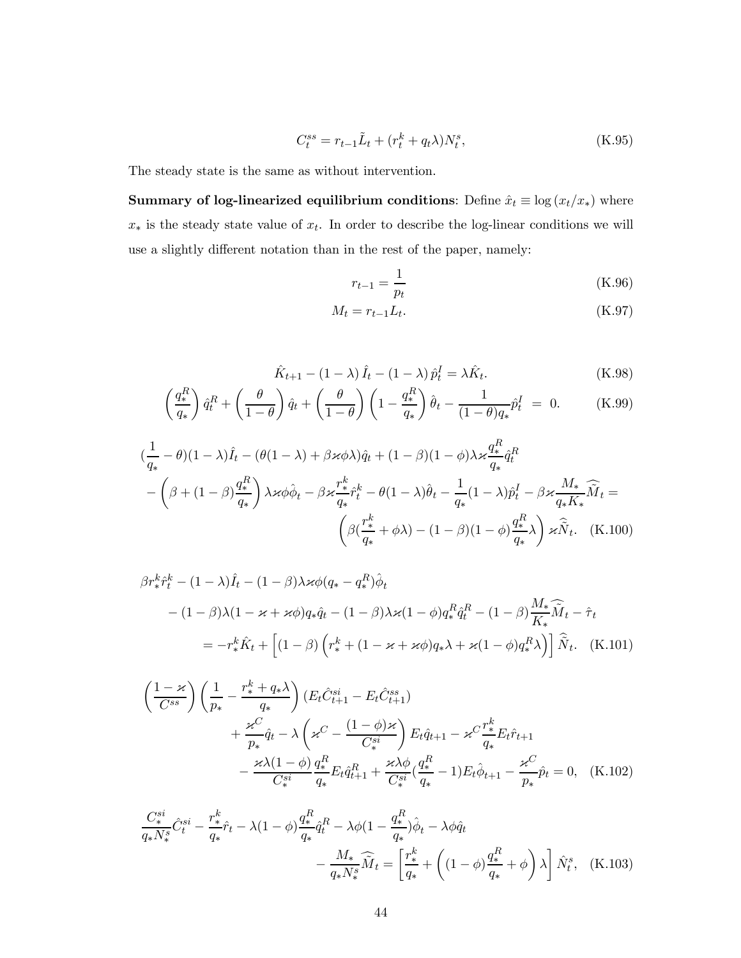$$
C_t^{ss} = r_{t-1}\tilde{L}_t + (r_t^k + q_t\lambda)N_t^s,
$$
\n(K.95)

The steady state is the same as without intervention.

Summary of log-linearized equilibrium conditions: Define  $\hat{x}_t \equiv \log (x_t/x_*)$  where  $x<sub>*</sub>$  is the steady state value of  $x<sub>t</sub>$ . In order to describe the log-linear conditions we will use a slightly different notation than in the rest of the paper, namely:

$$
r_{t-1} = \frac{1}{p_t}
$$
 (K.96)

$$
M_t = r_{t-1} L_t. \tag{K.97}
$$

$$
\hat{K}_{t+1} - (1 - \lambda)\hat{I}_t - (1 - \lambda)\hat{p}_t^I = \lambda \hat{K}_t.
$$
\n(K.98)

$$
\left(\frac{q_*^R}{q_*}\right)\hat{q}_t^R + \left(\frac{\theta}{1-\theta}\right)\hat{q}_t + \left(\frac{\theta}{1-\theta}\right)\left(1 - \frac{q_*^R}{q_*}\right)\hat{\theta}_t - \frac{1}{(1-\theta)q_*}\hat{p}_t^I = 0.
$$
 (K.99)

$$
\left(\frac{1}{q_*} - \theta\right)(1 - \lambda)\hat{I}_t - (\theta(1 - \lambda) + \beta \varkappa \phi \lambda)\hat{q}_t + (1 - \beta)(1 - \phi)\lambda \varkappa \frac{q_*^R}{q_*}\hat{q}_t^R
$$

$$
-\left(\beta + (1 - \beta)\frac{q_*^R}{q_*}\right)\lambda \varkappa \phi \hat{\phi}_t - \beta \varkappa \frac{r_*^k}{q_*}\hat{r}_t^k - \theta(1 - \lambda)\hat{\theta}_t - \frac{1}{q_*}(1 - \lambda)\hat{p}_t^I - \beta \varkappa \frac{M_*}{q_*}\widehat{M}_t =
$$

$$
\left(\beta(\frac{r_*^k}{q_*} + \phi \lambda) - (1 - \beta)(1 - \phi)\frac{q_*^R}{q_*}\lambda\right)\varkappa \widehat{N}_t. \quad \text{(K.100)}
$$

$$
\beta r_*^k \hat{r}_t^k - (1 - \lambda) \hat{I}_t - (1 - \beta) \lambda \varkappa \phi (q_* - q_*^R) \hat{\phi}_t
$$
  
 
$$
- (1 - \beta) \lambda (1 - \varkappa + \varkappa \phi) q_* \hat{q}_t - (1 - \beta) \lambda \varkappa (1 - \phi) q_*^R \hat{q}_t^R - (1 - \beta) \frac{M_*}{K_*} \widehat{M}_t - \hat{\tau}_t
$$
  
\n
$$
= -r_*^k \hat{K}_t + \left[ (1 - \beta) \left( r_*^k + (1 - \varkappa + \varkappa \phi) q_* \lambda + \varkappa (1 - \phi) q_*^R \lambda \right) \right] \widehat{N}_t.
$$
 (K.101)

$$
\left(\frac{1-\varkappa}{C^{ss}}\right) \left(\frac{1}{p_*} - \frac{r_*^k + q_*\lambda}{q_*}\right) (E_t \hat{C}_{t+1}^{si} - E_t \hat{C}_{t+1}^{ss}) \n+ \frac{\varkappa^C}{p_*} \hat{q}_t - \lambda \left(\varkappa^C - \frac{(1-\phi)\varkappa}{C_*^{si}}\right) E_t \hat{q}_{t+1} - \varkappa^C \frac{r_*^k}{q_*} E_t \hat{r}_{t+1} \n- \frac{\varkappa \lambda (1-\phi)}{C_*^{si}} \frac{q_*^R}{q_*} E_t \hat{q}_{t+1}^R + \frac{\varkappa \lambda \phi}{C_*^{si}} (\frac{q_*^R}{q_*} - 1) E_t \hat{\phi}_{t+1} - \frac{\varkappa^C}{p_*} \hat{p}_t = 0, \quad (K.102)
$$

$$
\frac{C_{*}^{si}}{q_{*}N_{*}^{s}}\hat{C}_{t}^{si} - \frac{r_{*}^{k}}{q_{*}}\hat{r}_{t} - \lambda(1-\phi)\frac{q_{*}^{R}}{q_{*}}\hat{q}_{t}^{R} - \lambda\phi(1-\frac{q_{*}^{R}}{q_{*}})\hat{\phi}_{t} - \lambda\phi\hat{q}_{t}
$$

$$
-\frac{M_{*}}{q_{*}N_{*}^{s}}\widehat{M}_{t} = \left[\frac{r_{*}^{k}}{q_{*}} + \left((1-\phi)\frac{q_{*}^{R}}{q_{*}} + \phi\right)\lambda\right]\hat{N}_{t}^{s}, \quad \text{(K.103)}
$$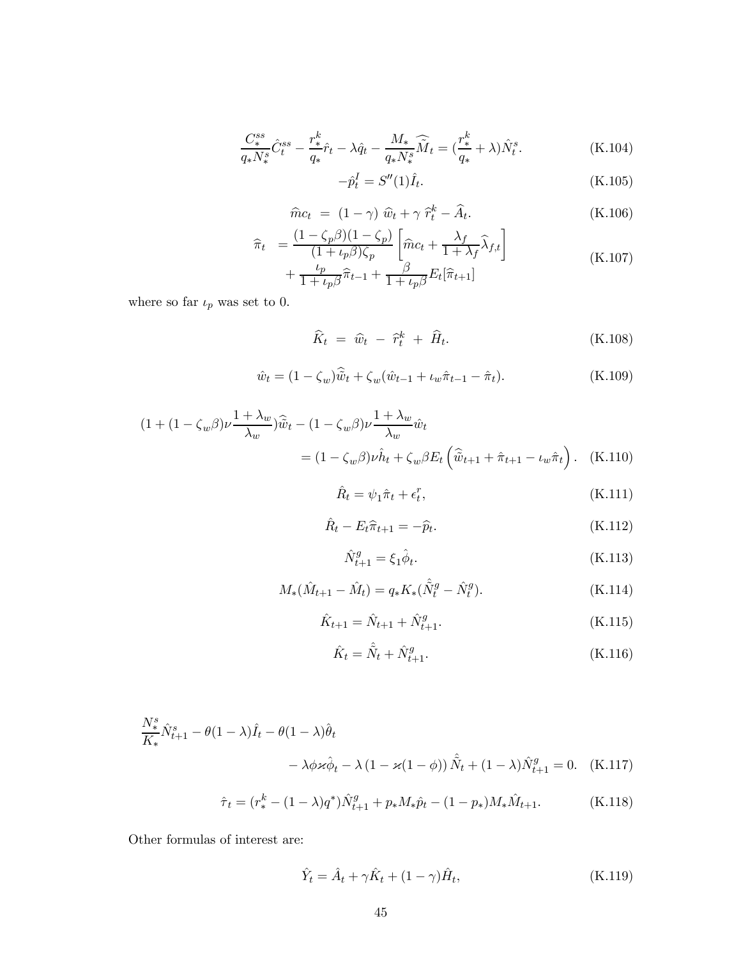$$
\frac{C_*^{ss}}{q_* N_*^s} \hat{C}_t^{ss} - \frac{r_*^k}{q_*} \hat{r}_t - \lambda \hat{q}_t - \frac{M_*}{q_* N_*^s} \widehat{\tilde{M}}_t = \left(\frac{r_*^k}{q_*} + \lambda\right) \hat{N}_t^s. \tag{K.104}
$$

$$
-\hat{p}_t^I = S''(1)\hat{I}_t.
$$
\n(K.105)

$$
\hat{m}c_t = (1 - \gamma)\,\,\hat{w}_t + \gamma\,\,\hat{r}_t^k - \hat{A}_t. \tag{K.106}
$$

$$
\begin{aligned}\n\widehat{\pi}_t &= \frac{(1 - \zeta_p \beta)(1 - \zeta_p)}{(1 + \iota_p \beta)\zeta_p} \left[ \widehat{m}c_t + \frac{\lambda_f}{1 + \lambda_f} \widehat{\lambda}_{f,t} \right] \\
&+ \frac{\iota_p}{1 + \iota_p \beta} \widehat{\pi}_{t-1} + \frac{\beta}{1 + \iota_p \beta} E_t[\widehat{\pi}_{t+1}] \n\end{aligned} \tag{K.107}
$$

where so far  $\iota_p$  was set to 0.

$$
\widehat{K}_t = \widehat{w}_t - \widehat{r}_t^k + \widehat{H}_t. \tag{K.108}
$$

$$
\hat{w}_t = (1 - \zeta_w)\hat{\tilde{w}}_t + \zeta_w(\hat{w}_{t-1} + \iota_w \hat{\pi}_{t-1} - \hat{\pi}_t). \tag{K.109}
$$

$$
(1 + (1 - \zeta_w \beta) \nu \frac{1 + \lambda_w}{\lambda_w}) \widehat{\tilde{w}}_t - (1 - \zeta_w \beta) \nu \frac{1 + \lambda_w}{\lambda_w} \hat{w}_t
$$
  
= 
$$
(1 - \zeta_w \beta) \nu \hat{h}_t + \zeta_w \beta E_t \left( \widehat{\tilde{w}}_{t+1} + \widehat{\pi}_{t+1} - \iota_w \widehat{\pi}_t \right). \quad \text{(K.110)}
$$

$$
\hat{R}_t = \psi_1 \hat{\pi}_t + \epsilon_t^r,\tag{K.111}
$$

$$
\hat{R}_t - E_t \hat{\pi}_{t+1} = -\hat{p}_t. \tag{K.112}
$$

$$
\hat{N}_{t+1}^g = \xi_1 \hat{\phi}_t. \tag{K.113}
$$

$$
M_{*}(\hat{M}_{t+1} - \hat{M}_{t}) = q_{*}K_{*}(\hat{\tilde{N}}_{t}^{g} - \hat{N}_{t}^{g}).
$$
\n(K.114)

$$
\hat{K}_{t+1} = \hat{N}_{t+1} + \hat{N}_{t+1}^g.
$$
\n(K.115)

$$
\hat{K}_t = \hat{\hat{N}}_t + \hat{N}_{t+1}^g.
$$
\n(K.116)

$$
\frac{N_{*}^{s}}{K_{*}}\hat{N}_{t+1}^{s} - \theta(1-\lambda)\hat{I}_{t} - \theta(1-\lambda)\hat{\theta}_{t}
$$

$$
- \lambda \phi \varkappa \hat{\phi}_{t} - \lambda (1 - \varkappa(1-\phi))\hat{N}_{t} + (1-\lambda)\hat{N}_{t+1}^{g} = 0. \quad \text{(K.117)}
$$

$$
\hat{\tau}_t = (r_*^k - (1 - \lambda)q^*)\hat{N}_{t+1}^g + p_*M_*\hat{p}_t - (1 - p_*)M_*\hat{M}_{t+1}.
$$
 (K.118)

Other formulas of interest are:

$$
\hat{Y}_t = \hat{A}_t + \gamma \hat{K}_t + (1 - \gamma)\hat{H}_t, \tag{K.119}
$$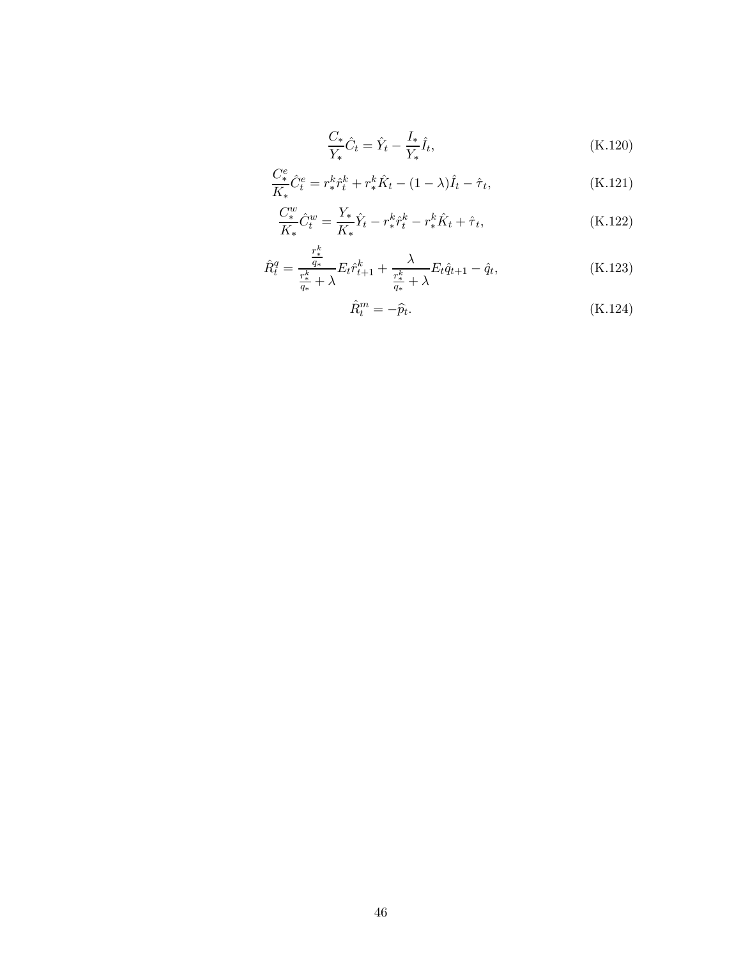$$
\frac{C_*}{Y_*}\hat{C}_t = \hat{Y}_t - \frac{I_*}{Y_*}\hat{I}_t,
$$
\n(K.120)

$$
\frac{C_{*}^{e}}{K_{*}}\hat{C}_{t}^{e} = r_{*}^{k}\hat{r}_{t}^{k} + r_{*}^{k}\hat{K}_{t} - (1 - \lambda)\hat{I}_{t} - \hat{\tau}_{t},
$$
\n(K.121)

$$
\frac{C_{*}^{w}}{K_{*}}\hat{C}_{t}^{w} = \frac{Y_{*}}{K_{*}}\hat{Y}_{t} - r_{*}^{k}\hat{r}_{t}^{k} - r_{*}^{k}\hat{K}_{t} + \hat{\tau}_{t},
$$
\n(K.122)

$$
\hat{R}_t^q = \frac{\frac{r_*^k}{q_*}}{\frac{r_*^k}{q_*} + \lambda} E_t \hat{r}_{t+1}^k + \frac{\lambda}{\frac{r_*^k}{q_*} + \lambda} E_t \hat{q}_{t+1} - \hat{q}_t,\tag{K.123}
$$

$$
\hat{R}_t^m = -\hat{p}_t. \tag{K.124}
$$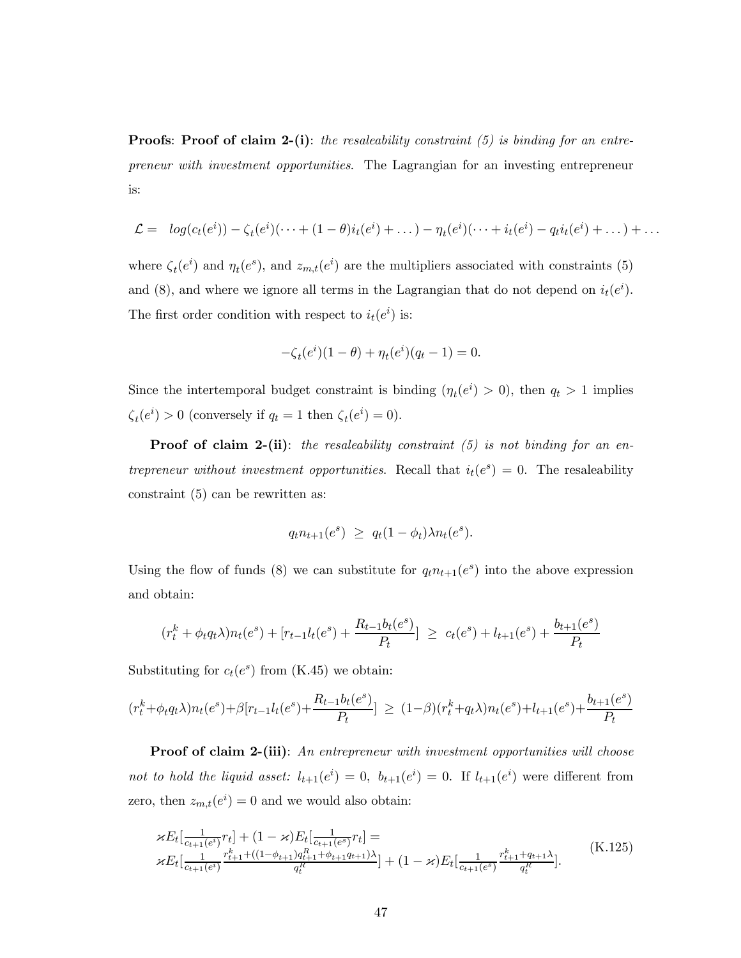**Proofs:** Proof of claim 2-(i): the resaleability constraint  $(5)$  is binding for an entrepreneur with investment opportunities. The Lagrangian for an investing entrepreneur is:

$$
\mathcal{L} = \log(c_t(e^i)) - \zeta_t(e^i)(\cdots + (1-\theta)i_t(e^i) + \dots) - \eta_t(e^i)(\cdots + i_t(e^i) - q_t i_t(e^i) + \dots) + \dots
$$

where  $\zeta_t(e^i)$  and  $\eta_t(e^s)$ , and  $z_{m,t}(e^i)$  are the multipliers associated with constraints (5) and (8), and where we ignore all terms in the Lagrangian that do not depend on  $i_t(e^i)$ . The first order condition with respect to  $i_t(e^i)$  is:

$$
-\zeta_t(e^i)(1-\theta) + \eta_t(e^i)(q_t - 1) = 0.
$$

Since the intertemporal budget constraint is binding  $(\eta_t(e^i) > 0)$ , then  $q_t > 1$  implies  $\zeta_t(e^i) > 0$  (conversely if  $q_t = 1$  then  $\zeta_t(e^i) = 0$ ).

**Proof of claim 2-(ii)**: the resaleability constraint  $(5)$  is not binding for an entrepreneur without investment opportunities. Recall that  $i_t(e^s)=0$ . The resaleability constraint (5) can be rewritten as:

$$
q_t n_{t+1}(e^s) \ge q_t (1 - \phi_t) \lambda n_t(e^s).
$$

Using the flow of funds (8) we can substitute for  $q_t n_{t+1}(e^s)$  into the above expression and obtain:

$$
(r_t^k + \phi_t q_t \lambda) n_t(e^s) + [r_{t-1} l_t(e^s) + \frac{R_{t-1} b_t(e^s)}{P_t}] \ge c_t(e^s) + l_{t+1}(e^s) + \frac{b_{t+1}(e^s)}{P_t}
$$

Substituting for  $c_t(e^s)$  from (K.45) we obtain:

$$
(r_t^k + \phi_t q_t \lambda) n_t(e^s) + \beta [r_{t-1} l_t(e^s) + \frac{R_{t-1} b_t(e^s)}{P_t}] \ge (1-\beta)(r_t^k + q_t \lambda) n_t(e^s) + l_{t+1}(e^s) + \frac{b_{t+1}(e^s)}{P_t}
$$

Proof of claim 2-(iii): An entrepreneur with investment opportunities will choose not to hold the liquid asset:  $l_{t+1}(e^i) = 0$ ,  $b_{t+1}(e^i) = 0$ . If  $l_{t+1}(e^i)$  were different from zero, then  $z_{m,t}(e^i) = 0$  and we would also obtain:

$$
\kappa E_t\left[\frac{1}{c_{t+1}(e^i)}r_t\right] + (1 - \varkappa)E_t\left[\frac{1}{c_{t+1}(e^s)}r_t\right] =\n\kappa E_t\left[\frac{1}{c_{t+1}(e^i)}\frac{r_{t+1}^k + (1 - \phi_{t+1})q_{t+1}^R + \phi_{t+1}q_{t+1}\lambda}{q_t^R}\right] + (1 - \varkappa)E_t\left[\frac{1}{c_{t+1}(e^s)}\frac{r_{t+1}^k + q_{t+1}\lambda}{q_t^R}\right].
$$
\n(K.125)